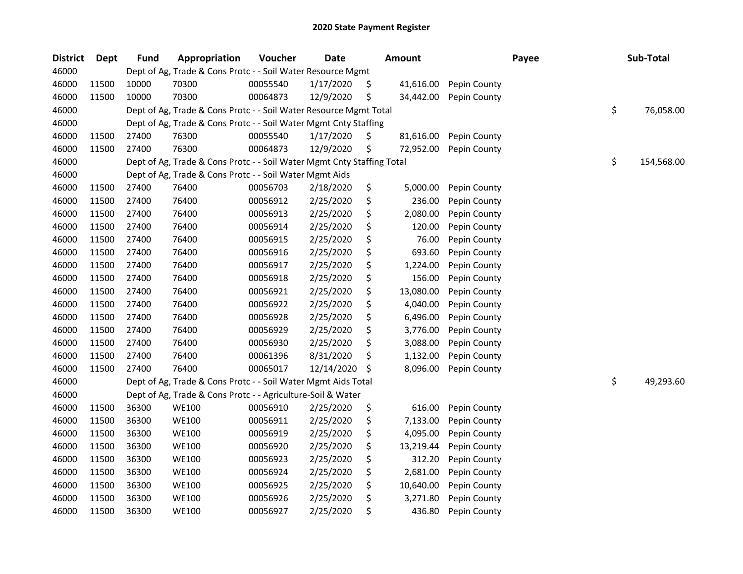| <b>District</b> | Dept  | <b>Fund</b> | Appropriation                                                          | Voucher  | <b>Date</b> |     | <b>Amount</b> |              | Payee | Sub-Total        |
|-----------------|-------|-------------|------------------------------------------------------------------------|----------|-------------|-----|---------------|--------------|-------|------------------|
| 46000           |       |             | Dept of Ag, Trade & Cons Protc - - Soil Water Resource Mgmt            |          |             |     |               |              |       |                  |
| 46000           | 11500 | 10000       | 70300                                                                  | 00055540 | 1/17/2020   | S   | 41,616.00     | Pepin County |       |                  |
| 46000           | 11500 | 10000       | 70300                                                                  | 00064873 | 12/9/2020   | \$  | 34,442.00     | Pepin County |       |                  |
| 46000           |       |             | Dept of Ag, Trade & Cons Protc - - Soil Water Resource Mgmt Total      |          |             |     |               |              |       | \$<br>76,058.00  |
| 46000           |       |             | Dept of Ag, Trade & Cons Protc - - Soil Water Mgmt Cnty Staffing       |          |             |     |               |              |       |                  |
| 46000           | 11500 | 27400       | 76300                                                                  | 00055540 | 1/17/2020   | \$, | 81,616.00     | Pepin County |       |                  |
| 46000           | 11500 | 27400       | 76300                                                                  | 00064873 | 12/9/2020   | \$  | 72,952.00     | Pepin County |       |                  |
| 46000           |       |             | Dept of Ag, Trade & Cons Protc - - Soil Water Mgmt Cnty Staffing Total |          |             |     |               |              |       | \$<br>154,568.00 |
| 46000           |       |             | Dept of Ag, Trade & Cons Protc - - Soil Water Mgmt Aids                |          |             |     |               |              |       |                  |
| 46000           | 11500 | 27400       | 76400                                                                  | 00056703 | 2/18/2020   | \$  | 5,000.00      | Pepin County |       |                  |
| 46000           | 11500 | 27400       | 76400                                                                  | 00056912 | 2/25/2020   | \$  | 236.00        | Pepin County |       |                  |
| 46000           | 11500 | 27400       | 76400                                                                  | 00056913 | 2/25/2020   | \$  | 2,080.00      | Pepin County |       |                  |
| 46000           | 11500 | 27400       | 76400                                                                  | 00056914 | 2/25/2020   | \$  | 120.00        | Pepin County |       |                  |
| 46000           | 11500 | 27400       | 76400                                                                  | 00056915 | 2/25/2020   | \$  | 76.00         | Pepin County |       |                  |
| 46000           | 11500 | 27400       | 76400                                                                  | 00056916 | 2/25/2020   | \$  | 693.60        | Pepin County |       |                  |
| 46000           | 11500 | 27400       | 76400                                                                  | 00056917 | 2/25/2020   | \$  | 1,224.00      | Pepin County |       |                  |
| 46000           | 11500 | 27400       | 76400                                                                  | 00056918 | 2/25/2020   | \$  | 156.00        | Pepin County |       |                  |
| 46000           | 11500 | 27400       | 76400                                                                  | 00056921 | 2/25/2020   | \$  | 13,080.00     | Pepin County |       |                  |
| 46000           | 11500 | 27400       | 76400                                                                  | 00056922 | 2/25/2020   | \$  | 4,040.00      | Pepin County |       |                  |
| 46000           | 11500 | 27400       | 76400                                                                  | 00056928 | 2/25/2020   | \$  | 6,496.00      | Pepin County |       |                  |
| 46000           | 11500 | 27400       | 76400                                                                  | 00056929 | 2/25/2020   | \$  | 3,776.00      | Pepin County |       |                  |
| 46000           | 11500 | 27400       | 76400                                                                  | 00056930 | 2/25/2020   | \$  | 3,088.00      | Pepin County |       |                  |
| 46000           | 11500 | 27400       | 76400                                                                  | 00061396 | 8/31/2020   | \$  | 1,132.00      | Pepin County |       |                  |
| 46000           | 11500 | 27400       | 76400                                                                  | 00065017 | 12/14/2020  | \$  | 8,096.00      | Pepin County |       |                  |
| 46000           |       |             | Dept of Ag, Trade & Cons Protc - - Soil Water Mgmt Aids Total          |          |             |     |               |              |       | \$<br>49,293.60  |
| 46000           |       |             | Dept of Ag, Trade & Cons Protc - - Agriculture-Soil & Water            |          |             |     |               |              |       |                  |
| 46000           | 11500 | 36300       | <b>WE100</b>                                                           | 00056910 | 2/25/2020   | \$  | 616.00        | Pepin County |       |                  |
| 46000           | 11500 | 36300       | <b>WE100</b>                                                           | 00056911 | 2/25/2020   | \$  | 7,133.00      | Pepin County |       |                  |
| 46000           | 11500 | 36300       | <b>WE100</b>                                                           | 00056919 | 2/25/2020   | \$  | 4,095.00      | Pepin County |       |                  |
| 46000           | 11500 | 36300       | <b>WE100</b>                                                           | 00056920 | 2/25/2020   | \$  | 13,219.44     | Pepin County |       |                  |
| 46000           | 11500 | 36300       | <b>WE100</b>                                                           | 00056923 | 2/25/2020   | \$  | 312.20        | Pepin County |       |                  |
| 46000           | 11500 | 36300       | <b>WE100</b>                                                           | 00056924 | 2/25/2020   | \$  | 2,681.00      | Pepin County |       |                  |
| 46000           | 11500 | 36300       | <b>WE100</b>                                                           | 00056925 | 2/25/2020   | \$  | 10,640.00     | Pepin County |       |                  |
| 46000           | 11500 | 36300       | <b>WE100</b>                                                           | 00056926 | 2/25/2020   | \$  | 3,271.80      | Pepin County |       |                  |
| 46000           | 11500 | 36300       | <b>WE100</b>                                                           | 00056927 | 2/25/2020   | \$  | 436.80        | Pepin County |       |                  |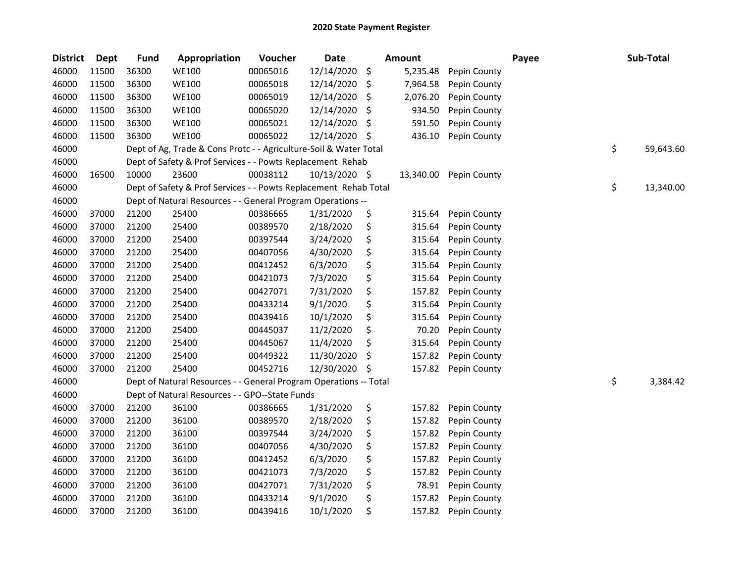| <b>District</b> | <b>Dept</b> | <b>Fund</b> | Appropriation                                                     | Voucher  | <b>Date</b>   |     | <b>Amount</b> |              | Payee | Sub-Total       |
|-----------------|-------------|-------------|-------------------------------------------------------------------|----------|---------------|-----|---------------|--------------|-------|-----------------|
| 46000           | 11500       | 36300       | <b>WE100</b>                                                      | 00065016 | 12/14/2020    | \$  | 5,235.48      | Pepin County |       |                 |
| 46000           | 11500       | 36300       | <b>WE100</b>                                                      | 00065018 | 12/14/2020    | \$  | 7,964.58      | Pepin County |       |                 |
| 46000           | 11500       | 36300       | <b>WE100</b>                                                      | 00065019 | 12/14/2020    | \$  | 2,076.20      | Pepin County |       |                 |
| 46000           | 11500       | 36300       | <b>WE100</b>                                                      | 00065020 | 12/14/2020    | \$  | 934.50        | Pepin County |       |                 |
| 46000           | 11500       | 36300       | <b>WE100</b>                                                      | 00065021 | 12/14/2020    | \$  | 591.50        | Pepin County |       |                 |
| 46000           | 11500       | 36300       | <b>WE100</b>                                                      | 00065022 | 12/14/2020    | \$  | 436.10        | Pepin County |       |                 |
| 46000           |             |             | Dept of Ag, Trade & Cons Protc - - Agriculture-Soil & Water Total |          |               |     |               |              |       | \$<br>59,643.60 |
| 46000           |             |             | Dept of Safety & Prof Services - - Powts Replacement Rehab        |          |               |     |               |              |       |                 |
| 46000           | 16500       | 10000       | 23600                                                             | 00038112 | 10/13/2020 \$ |     | 13,340.00     | Pepin County |       |                 |
| 46000           |             |             | Dept of Safety & Prof Services - - Powts Replacement Rehab Total  |          |               |     |               |              |       | \$<br>13,340.00 |
| 46000           |             |             | Dept of Natural Resources - - General Program Operations --       |          |               |     |               |              |       |                 |
| 46000           | 37000       | 21200       | 25400                                                             | 00386665 | 1/31/2020     | \$  | 315.64        | Pepin County |       |                 |
| 46000           | 37000       | 21200       | 25400                                                             | 00389570 | 2/18/2020     | \$  | 315.64        | Pepin County |       |                 |
| 46000           | 37000       | 21200       | 25400                                                             | 00397544 | 3/24/2020     | \$  | 315.64        | Pepin County |       |                 |
| 46000           | 37000       | 21200       | 25400                                                             | 00407056 | 4/30/2020     | \$  | 315.64        | Pepin County |       |                 |
| 46000           | 37000       | 21200       | 25400                                                             | 00412452 | 6/3/2020      | \$  | 315.64        | Pepin County |       |                 |
| 46000           | 37000       | 21200       | 25400                                                             | 00421073 | 7/3/2020      | \$  | 315.64        | Pepin County |       |                 |
| 46000           | 37000       | 21200       | 25400                                                             | 00427071 | 7/31/2020     | \$  | 157.82        | Pepin County |       |                 |
| 46000           | 37000       | 21200       | 25400                                                             | 00433214 | 9/1/2020      | \$  | 315.64        | Pepin County |       |                 |
| 46000           | 37000       | 21200       | 25400                                                             | 00439416 | 10/1/2020     | \$  | 315.64        | Pepin County |       |                 |
| 46000           | 37000       | 21200       | 25400                                                             | 00445037 | 11/2/2020     | \$  | 70.20         | Pepin County |       |                 |
| 46000           | 37000       | 21200       | 25400                                                             | 00445067 | 11/4/2020     | \$  | 315.64        | Pepin County |       |                 |
| 46000           | 37000       | 21200       | 25400                                                             | 00449322 | 11/30/2020    | \$, | 157.82        | Pepin County |       |                 |
| 46000           | 37000       | 21200       | 25400                                                             | 00452716 | 12/30/2020    | \$  | 157.82        | Pepin County |       |                 |
| 46000           |             |             | Dept of Natural Resources - - General Program Operations -- Total |          |               |     |               |              |       | \$<br>3,384.42  |
| 46000           |             |             | Dept of Natural Resources - - GPO--State Funds                    |          |               |     |               |              |       |                 |
| 46000           | 37000       | 21200       | 36100                                                             | 00386665 | 1/31/2020     | \$  | 157.82        | Pepin County |       |                 |
| 46000           | 37000       | 21200       | 36100                                                             | 00389570 | 2/18/2020     | \$  | 157.82        | Pepin County |       |                 |
| 46000           | 37000       | 21200       | 36100                                                             | 00397544 | 3/24/2020     | \$  | 157.82        | Pepin County |       |                 |
| 46000           | 37000       | 21200       | 36100                                                             | 00407056 | 4/30/2020     | \$  | 157.82        | Pepin County |       |                 |
| 46000           | 37000       | 21200       | 36100                                                             | 00412452 | 6/3/2020      | \$  | 157.82        | Pepin County |       |                 |
| 46000           | 37000       | 21200       | 36100                                                             | 00421073 | 7/3/2020      | \$  | 157.82        | Pepin County |       |                 |
| 46000           | 37000       | 21200       | 36100                                                             | 00427071 | 7/31/2020     | \$  | 78.91         | Pepin County |       |                 |
| 46000           | 37000       | 21200       | 36100                                                             | 00433214 | 9/1/2020      | \$  | 157.82        | Pepin County |       |                 |
| 46000           | 37000       | 21200       | 36100                                                             | 00439416 | 10/1/2020     | \$  | 157.82        | Pepin County |       |                 |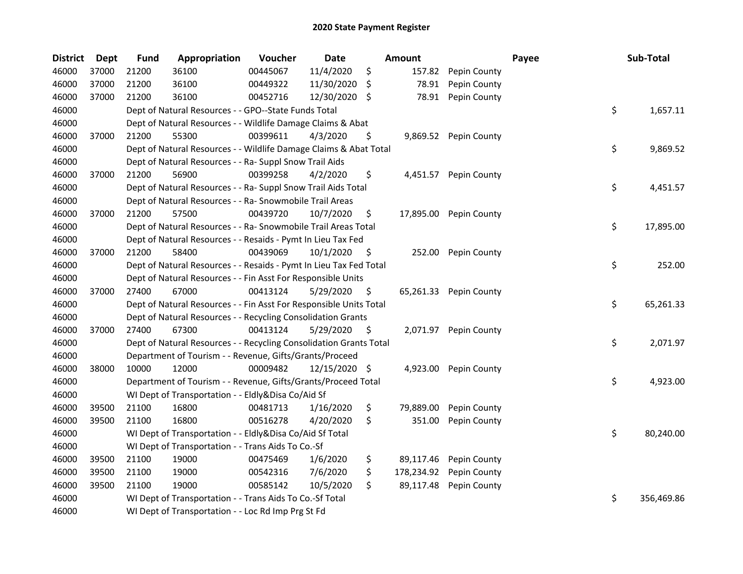| <b>District</b> | <b>Dept</b> | <b>Fund</b> | Appropriation                                                      | Voucher  | <b>Date</b>   |     | <b>Amount</b> |                        | Payee | Sub-Total        |
|-----------------|-------------|-------------|--------------------------------------------------------------------|----------|---------------|-----|---------------|------------------------|-------|------------------|
| 46000           | 37000       | 21200       | 36100                                                              | 00445067 | 11/4/2020     | \$  | 157.82        | Pepin County           |       |                  |
| 46000           | 37000       | 21200       | 36100                                                              | 00449322 | 11/30/2020    | \$. | 78.91         | Pepin County           |       |                  |
| 46000           | 37000       | 21200       | 36100                                                              | 00452716 | 12/30/2020    | -S  | 78.91         | Pepin County           |       |                  |
| 46000           |             |             | Dept of Natural Resources - - GPO--State Funds Total               |          |               |     |               |                        |       | \$<br>1,657.11   |
| 46000           |             |             | Dept of Natural Resources - - Wildlife Damage Claims & Abat        |          |               |     |               |                        |       |                  |
| 46000           | 37000       | 21200       | 55300                                                              | 00399611 | 4/3/2020      | \$  | 9,869.52      | Pepin County           |       |                  |
| 46000           |             |             | Dept of Natural Resources - - Wildlife Damage Claims & Abat Total  |          |               |     |               |                        |       | \$<br>9,869.52   |
| 46000           |             |             | Dept of Natural Resources - - Ra- Suppl Snow Trail Aids            |          |               |     |               |                        |       |                  |
| 46000           | 37000       | 21200       | 56900                                                              | 00399258 | 4/2/2020      | \$  | 4,451.57      | Pepin County           |       |                  |
| 46000           |             |             | Dept of Natural Resources - - Ra- Suppl Snow Trail Aids Total      |          |               |     |               |                        |       | \$<br>4,451.57   |
| 46000           |             |             | Dept of Natural Resources - - Ra- Snowmobile Trail Areas           |          |               |     |               |                        |       |                  |
| 46000           | 37000       | 21200       | 57500                                                              | 00439720 | 10/7/2020     | \$. | 17,895.00     | Pepin County           |       |                  |
| 46000           |             |             | Dept of Natural Resources - - Ra- Snowmobile Trail Areas Total     |          |               |     |               |                        |       | \$<br>17,895.00  |
| 46000           |             |             | Dept of Natural Resources - - Resaids - Pymt In Lieu Tax Fed       |          |               |     |               |                        |       |                  |
| 46000           | 37000       | 21200       | 58400                                                              | 00439069 | 10/1/2020     | \$  | 252.00        | Pepin County           |       |                  |
| 46000           |             |             | Dept of Natural Resources - - Resaids - Pymt In Lieu Tax Fed Total |          |               |     |               |                        |       | \$<br>252.00     |
| 46000           |             |             | Dept of Natural Resources - - Fin Asst For Responsible Units       |          |               |     |               |                        |       |                  |
| 46000           | 37000       | 27400       | 67000                                                              | 00413124 | 5/29/2020     | \$  |               | 65,261.33 Pepin County |       |                  |
| 46000           |             |             | Dept of Natural Resources - - Fin Asst For Responsible Units Total |          |               |     |               |                        |       | \$<br>65,261.33  |
| 46000           |             |             | Dept of Natural Resources - - Recycling Consolidation Grants       |          |               |     |               |                        |       |                  |
| 46000           | 37000       | 27400       | 67300                                                              | 00413124 | 5/29/2020     | \$  |               | 2,071.97 Pepin County  |       |                  |
| 46000           |             |             | Dept of Natural Resources - - Recycling Consolidation Grants Total |          |               |     |               |                        |       | \$<br>2,071.97   |
| 46000           |             |             | Department of Tourism - - Revenue, Gifts/Grants/Proceed            |          |               |     |               |                        |       |                  |
| 46000           | 38000       | 10000       | 12000                                                              | 00009482 | 12/15/2020 \$ |     | 4,923.00      | Pepin County           |       |                  |
| 46000           |             |             | Department of Tourism - - Revenue, Gifts/Grants/Proceed Total      |          |               |     |               |                        |       | \$<br>4,923.00   |
| 46000           |             |             | WI Dept of Transportation - - Eldly&Disa Co/Aid Sf                 |          |               |     |               |                        |       |                  |
| 46000           | 39500       | 21100       | 16800                                                              | 00481713 | 1/16/2020     | \$  | 79,889.00     | Pepin County           |       |                  |
| 46000           | 39500       | 21100       | 16800                                                              | 00516278 | 4/20/2020     | \$  | 351.00        | Pepin County           |       |                  |
| 46000           |             |             | WI Dept of Transportation - - Eldly&Disa Co/Aid Sf Total           |          |               |     |               |                        |       | \$<br>80,240.00  |
| 46000           |             |             | WI Dept of Transportation - - Trans Aids To Co.-Sf                 |          |               |     |               |                        |       |                  |
| 46000           | 39500       | 21100       | 19000                                                              | 00475469 | 1/6/2020      | \$  | 89,117.46     | Pepin County           |       |                  |
| 46000           | 39500       | 21100       | 19000                                                              | 00542316 | 7/6/2020      | \$  | 178,234.92    | Pepin County           |       |                  |
| 46000           | 39500       | 21100       | 19000                                                              | 00585142 | 10/5/2020     | \$  | 89,117.48     | Pepin County           |       |                  |
| 46000           |             |             | WI Dept of Transportation - - Trans Aids To Co.-Sf Total           |          |               |     |               |                        |       | \$<br>356,469.86 |
| 46000           |             |             | WI Dept of Transportation - - Loc Rd Imp Prg St Fd                 |          |               |     |               |                        |       |                  |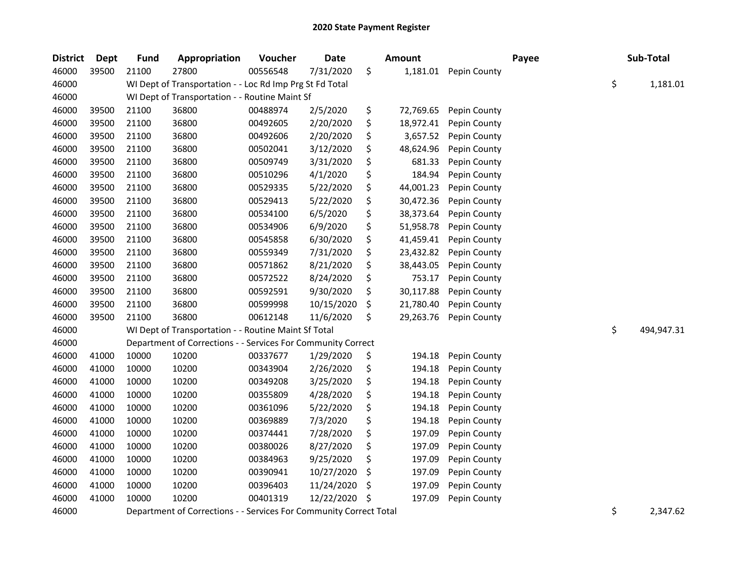| <b>District</b> | <b>Dept</b> | <b>Fund</b> | Appropriation                                                      | Voucher  | <b>Date</b> | <b>Amount</b>   |              | Payee | Sub-Total        |
|-----------------|-------------|-------------|--------------------------------------------------------------------|----------|-------------|-----------------|--------------|-------|------------------|
| 46000           | 39500       | 21100       | 27800                                                              | 00556548 | 7/31/2020   | \$<br>1,181.01  | Pepin County |       |                  |
| 46000           |             |             | WI Dept of Transportation - - Loc Rd Imp Prg St Fd Total           |          |             |                 |              |       | \$<br>1,181.01   |
| 46000           |             |             | WI Dept of Transportation - - Routine Maint Sf                     |          |             |                 |              |       |                  |
| 46000           | 39500       | 21100       | 36800                                                              | 00488974 | 2/5/2020    | \$<br>72,769.65 | Pepin County |       |                  |
| 46000           | 39500       | 21100       | 36800                                                              | 00492605 | 2/20/2020   | \$<br>18,972.41 | Pepin County |       |                  |
| 46000           | 39500       | 21100       | 36800                                                              | 00492606 | 2/20/2020   | \$<br>3,657.52  | Pepin County |       |                  |
| 46000           | 39500       | 21100       | 36800                                                              | 00502041 | 3/12/2020   | \$<br>48,624.96 | Pepin County |       |                  |
| 46000           | 39500       | 21100       | 36800                                                              | 00509749 | 3/31/2020   | \$<br>681.33    | Pepin County |       |                  |
| 46000           | 39500       | 21100       | 36800                                                              | 00510296 | 4/1/2020    | \$<br>184.94    | Pepin County |       |                  |
| 46000           | 39500       | 21100       | 36800                                                              | 00529335 | 5/22/2020   | \$<br>44,001.23 | Pepin County |       |                  |
| 46000           | 39500       | 21100       | 36800                                                              | 00529413 | 5/22/2020   | \$<br>30,472.36 | Pepin County |       |                  |
| 46000           | 39500       | 21100       | 36800                                                              | 00534100 | 6/5/2020    | \$<br>38,373.64 | Pepin County |       |                  |
| 46000           | 39500       | 21100       | 36800                                                              | 00534906 | 6/9/2020    | \$<br>51,958.78 | Pepin County |       |                  |
| 46000           | 39500       | 21100       | 36800                                                              | 00545858 | 6/30/2020   | \$<br>41,459.41 | Pepin County |       |                  |
| 46000           | 39500       | 21100       | 36800                                                              | 00559349 | 7/31/2020   | \$<br>23,432.82 | Pepin County |       |                  |
| 46000           | 39500       | 21100       | 36800                                                              | 00571862 | 8/21/2020   | \$<br>38,443.05 | Pepin County |       |                  |
| 46000           | 39500       | 21100       | 36800                                                              | 00572522 | 8/24/2020   | \$<br>753.17    | Pepin County |       |                  |
| 46000           | 39500       | 21100       | 36800                                                              | 00592591 | 9/30/2020   | \$<br>30,117.88 | Pepin County |       |                  |
| 46000           | 39500       | 21100       | 36800                                                              | 00599998 | 10/15/2020  | \$<br>21,780.40 | Pepin County |       |                  |
| 46000           | 39500       | 21100       | 36800                                                              | 00612148 | 11/6/2020   | \$<br>29,263.76 | Pepin County |       |                  |
| 46000           |             |             | WI Dept of Transportation - - Routine Maint Sf Total               |          |             |                 |              |       | \$<br>494,947.31 |
| 46000           |             |             | Department of Corrections - - Services For Community Correct       |          |             |                 |              |       |                  |
| 46000           | 41000       | 10000       | 10200                                                              | 00337677 | 1/29/2020   | \$<br>194.18    | Pepin County |       |                  |
| 46000           | 41000       | 10000       | 10200                                                              | 00343904 | 2/26/2020   | \$<br>194.18    | Pepin County |       |                  |
| 46000           | 41000       | 10000       | 10200                                                              | 00349208 | 3/25/2020   | \$<br>194.18    | Pepin County |       |                  |
| 46000           | 41000       | 10000       | 10200                                                              | 00355809 | 4/28/2020   | \$<br>194.18    | Pepin County |       |                  |
| 46000           | 41000       | 10000       | 10200                                                              | 00361096 | 5/22/2020   | \$<br>194.18    | Pepin County |       |                  |
| 46000           | 41000       | 10000       | 10200                                                              | 00369889 | 7/3/2020    | \$<br>194.18    | Pepin County |       |                  |
| 46000           | 41000       | 10000       | 10200                                                              | 00374441 | 7/28/2020   | \$<br>197.09    | Pepin County |       |                  |
| 46000           | 41000       | 10000       | 10200                                                              | 00380026 | 8/27/2020   | \$<br>197.09    | Pepin County |       |                  |
| 46000           | 41000       | 10000       | 10200                                                              | 00384963 | 9/25/2020   | \$<br>197.09    | Pepin County |       |                  |
| 46000           | 41000       | 10000       | 10200                                                              | 00390941 | 10/27/2020  | \$<br>197.09    | Pepin County |       |                  |
| 46000           | 41000       | 10000       | 10200                                                              | 00396403 | 11/24/2020  | \$<br>197.09    | Pepin County |       |                  |
| 46000           | 41000       | 10000       | 10200                                                              | 00401319 | 12/22/2020  | \$<br>197.09    | Pepin County |       |                  |
| 46000           |             |             | Department of Corrections - - Services For Community Correct Total |          |             |                 |              |       | \$<br>2,347.62   |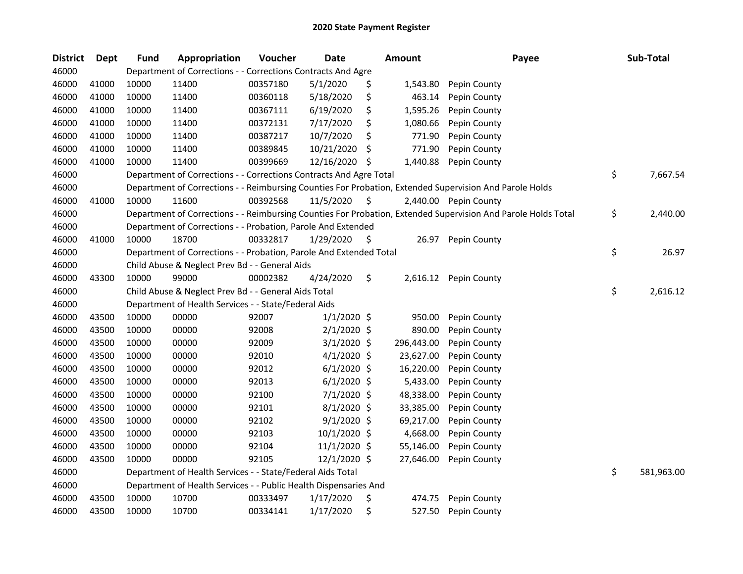| <b>District</b> | Dept  | <b>Fund</b> | Appropriation                                                      | Voucher  | <b>Date</b>   |     | Amount     | Payee                                                                                                         | Sub-Total        |
|-----------------|-------|-------------|--------------------------------------------------------------------|----------|---------------|-----|------------|---------------------------------------------------------------------------------------------------------------|------------------|
| 46000           |       |             | Department of Corrections - - Corrections Contracts And Agre       |          |               |     |            |                                                                                                               |                  |
| 46000           | 41000 | 10000       | 11400                                                              | 00357180 | 5/1/2020      | \$  | 1,543.80   | Pepin County                                                                                                  |                  |
| 46000           | 41000 | 10000       | 11400                                                              | 00360118 | 5/18/2020     | \$  | 463.14     | Pepin County                                                                                                  |                  |
| 46000           | 41000 | 10000       | 11400                                                              | 00367111 | 6/19/2020     | \$  | 1,595.26   | Pepin County                                                                                                  |                  |
| 46000           | 41000 | 10000       | 11400                                                              | 00372131 | 7/17/2020     | \$  | 1,080.66   | Pepin County                                                                                                  |                  |
| 46000           | 41000 | 10000       | 11400                                                              | 00387217 | 10/7/2020     | \$  | 771.90     | Pepin County                                                                                                  |                  |
| 46000           | 41000 | 10000       | 11400                                                              | 00389845 | 10/21/2020    | S   | 771.90     | Pepin County                                                                                                  |                  |
| 46000           | 41000 | 10000       | 11400                                                              | 00399669 | 12/16/2020    | \$. | 1,440.88   | Pepin County                                                                                                  |                  |
| 46000           |       |             | Department of Corrections - - Corrections Contracts And Agre Total |          |               |     |            |                                                                                                               | \$<br>7,667.54   |
| 46000           |       |             |                                                                    |          |               |     |            | Department of Corrections - - Reimbursing Counties For Probation, Extended Supervision And Parole Holds       |                  |
| 46000           | 41000 | 10000       | 11600                                                              | 00392568 | 11/5/2020     | \$. |            | 2,440.00 Pepin County                                                                                         |                  |
| 46000           |       |             |                                                                    |          |               |     |            | Department of Corrections - - Reimbursing Counties For Probation, Extended Supervision And Parole Holds Total | \$<br>2,440.00   |
| 46000           |       |             | Department of Corrections - - Probation, Parole And Extended       |          |               |     |            |                                                                                                               |                  |
| 46000           | 41000 | 10000       | 18700                                                              | 00332817 | 1/29/2020     | \$. | 26.97      | Pepin County                                                                                                  |                  |
| 46000           |       |             | Department of Corrections - - Probation, Parole And Extended Total |          |               |     |            |                                                                                                               | \$<br>26.97      |
| 46000           |       |             | Child Abuse & Neglect Prev Bd - - General Aids                     |          |               |     |            |                                                                                                               |                  |
| 46000           | 43300 | 10000       | 99000                                                              | 00002382 | 4/24/2020     | \$  | 2,616.12   | Pepin County                                                                                                  |                  |
| 46000           |       |             | Child Abuse & Neglect Prev Bd - - General Aids Total               |          |               |     |            |                                                                                                               | \$<br>2,616.12   |
| 46000           |       |             | Department of Health Services - - State/Federal Aids               |          |               |     |            |                                                                                                               |                  |
| 46000           | 43500 | 10000       | 00000                                                              | 92007    | $1/1/2020$ \$ |     | 950.00     | Pepin County                                                                                                  |                  |
| 46000           | 43500 | 10000       | 00000                                                              | 92008    | $2/1/2020$ \$ |     | 890.00     | Pepin County                                                                                                  |                  |
| 46000           | 43500 | 10000       | 00000                                                              | 92009    | $3/1/2020$ \$ |     | 296,443.00 | Pepin County                                                                                                  |                  |
| 46000           | 43500 | 10000       | 00000                                                              | 92010    | $4/1/2020$ \$ |     | 23,627.00  | Pepin County                                                                                                  |                  |
| 46000           | 43500 | 10000       | 00000                                                              | 92012    | $6/1/2020$ \$ |     | 16,220.00  | Pepin County                                                                                                  |                  |
| 46000           | 43500 | 10000       | 00000                                                              | 92013    | $6/1/2020$ \$ |     | 5,433.00   | Pepin County                                                                                                  |                  |
| 46000           | 43500 | 10000       | 00000                                                              | 92100    | $7/1/2020$ \$ |     | 48,338.00  | Pepin County                                                                                                  |                  |
| 46000           | 43500 | 10000       | 00000                                                              | 92101    | 8/1/2020 \$   |     | 33,385.00  | Pepin County                                                                                                  |                  |
| 46000           | 43500 | 10000       | 00000                                                              | 92102    | $9/1/2020$ \$ |     | 69,217.00  | Pepin County                                                                                                  |                  |
| 46000           | 43500 | 10000       | 00000                                                              | 92103    | 10/1/2020 \$  |     | 4,668.00   | Pepin County                                                                                                  |                  |
| 46000           | 43500 | 10000       | 00000                                                              | 92104    | 11/1/2020 \$  |     | 55,146.00  | Pepin County                                                                                                  |                  |
| 46000           | 43500 | 10000       | 00000                                                              | 92105    | 12/1/2020 \$  |     | 27,646.00  | Pepin County                                                                                                  |                  |
| 46000           |       |             | Department of Health Services - - State/Federal Aids Total         |          |               |     |            |                                                                                                               | \$<br>581,963.00 |
| 46000           |       |             | Department of Health Services - - Public Health Dispensaries And   |          |               |     |            |                                                                                                               |                  |
| 46000           | 43500 | 10000       | 10700                                                              | 00333497 | 1/17/2020     | \$  | 474.75     | Pepin County                                                                                                  |                  |
| 46000           | 43500 | 10000       | 10700                                                              | 00334141 | 1/17/2020     | \$  | 527.50     | Pepin County                                                                                                  |                  |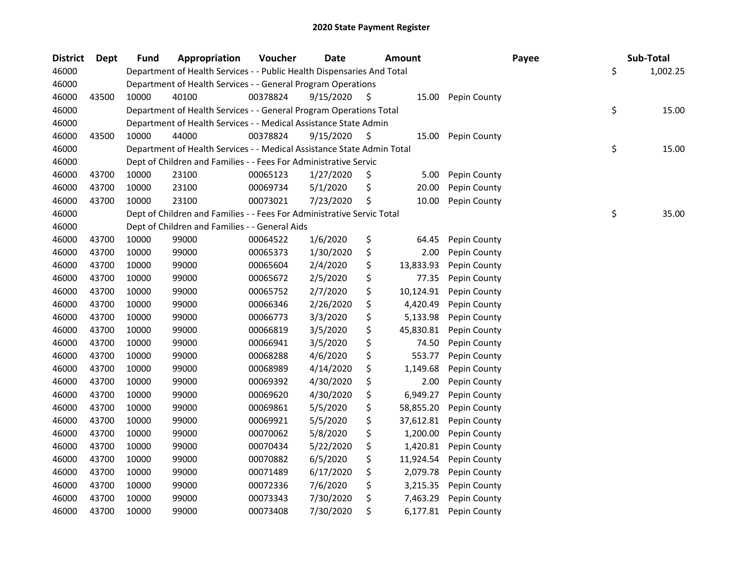| <b>District</b> | Dept  | <b>Fund</b> | Appropriation                                                          | Voucher  | <b>Date</b> | <b>Amount</b>   |              | Payee | Sub-Total      |
|-----------------|-------|-------------|------------------------------------------------------------------------|----------|-------------|-----------------|--------------|-------|----------------|
| 46000           |       |             | Department of Health Services - - Public Health Dispensaries And Total |          |             |                 |              |       | \$<br>1,002.25 |
| 46000           |       |             | Department of Health Services - - General Program Operations           |          |             |                 |              |       |                |
| 46000           | 43500 | 10000       | 40100                                                                  | 00378824 | 9/15/2020   | \$<br>15.00     | Pepin County |       |                |
| 46000           |       |             | Department of Health Services - - General Program Operations Total     |          |             |                 |              |       | \$<br>15.00    |
| 46000           |       |             | Department of Health Services - - Medical Assistance State Admin       |          |             |                 |              |       |                |
| 46000           | 43500 | 10000       | 44000                                                                  | 00378824 | 9/15/2020   | \$<br>15.00     | Pepin County |       |                |
| 46000           |       |             | Department of Health Services - - Medical Assistance State Admin Total |          |             |                 |              |       | \$<br>15.00    |
| 46000           |       |             | Dept of Children and Families - - Fees For Administrative Servic       |          |             |                 |              |       |                |
| 46000           | 43700 | 10000       | 23100                                                                  | 00065123 | 1/27/2020   | \$<br>5.00      | Pepin County |       |                |
| 46000           | 43700 | 10000       | 23100                                                                  | 00069734 | 5/1/2020    | \$<br>20.00     | Pepin County |       |                |
| 46000           | 43700 | 10000       | 23100                                                                  | 00073021 | 7/23/2020   | \$<br>10.00     | Pepin County |       |                |
| 46000           |       |             | Dept of Children and Families - - Fees For Administrative Servic Total |          |             |                 |              |       | \$<br>35.00    |
| 46000           |       |             | Dept of Children and Families - - General Aids                         |          |             |                 |              |       |                |
| 46000           | 43700 | 10000       | 99000                                                                  | 00064522 | 1/6/2020    | \$<br>64.45     | Pepin County |       |                |
| 46000           | 43700 | 10000       | 99000                                                                  | 00065373 | 1/30/2020   | \$<br>2.00      | Pepin County |       |                |
| 46000           | 43700 | 10000       | 99000                                                                  | 00065604 | 2/4/2020    | \$<br>13,833.93 | Pepin County |       |                |
| 46000           | 43700 | 10000       | 99000                                                                  | 00065672 | 2/5/2020    | \$<br>77.35     | Pepin County |       |                |
| 46000           | 43700 | 10000       | 99000                                                                  | 00065752 | 2/7/2020    | \$<br>10,124.91 | Pepin County |       |                |
| 46000           | 43700 | 10000       | 99000                                                                  | 00066346 | 2/26/2020   | \$<br>4,420.49  | Pepin County |       |                |
| 46000           | 43700 | 10000       | 99000                                                                  | 00066773 | 3/3/2020    | \$<br>5,133.98  | Pepin County |       |                |
| 46000           | 43700 | 10000       | 99000                                                                  | 00066819 | 3/5/2020    | \$<br>45,830.81 | Pepin County |       |                |
| 46000           | 43700 | 10000       | 99000                                                                  | 00066941 | 3/5/2020    | \$<br>74.50     | Pepin County |       |                |
| 46000           | 43700 | 10000       | 99000                                                                  | 00068288 | 4/6/2020    | \$<br>553.77    | Pepin County |       |                |
| 46000           | 43700 | 10000       | 99000                                                                  | 00068989 | 4/14/2020   | \$<br>1,149.68  | Pepin County |       |                |
| 46000           | 43700 | 10000       | 99000                                                                  | 00069392 | 4/30/2020   | \$<br>2.00      | Pepin County |       |                |
| 46000           | 43700 | 10000       | 99000                                                                  | 00069620 | 4/30/2020   | \$<br>6,949.27  | Pepin County |       |                |
| 46000           | 43700 | 10000       | 99000                                                                  | 00069861 | 5/5/2020    | \$<br>58,855.20 | Pepin County |       |                |
| 46000           | 43700 | 10000       | 99000                                                                  | 00069921 | 5/5/2020    | \$<br>37,612.81 | Pepin County |       |                |
| 46000           | 43700 | 10000       | 99000                                                                  | 00070062 | 5/8/2020    | \$<br>1,200.00  | Pepin County |       |                |
| 46000           | 43700 | 10000       | 99000                                                                  | 00070434 | 5/22/2020   | \$<br>1,420.81  | Pepin County |       |                |
| 46000           | 43700 | 10000       | 99000                                                                  | 00070882 | 6/5/2020    | \$<br>11,924.54 | Pepin County |       |                |
| 46000           | 43700 | 10000       | 99000                                                                  | 00071489 | 6/17/2020   | \$<br>2,079.78  | Pepin County |       |                |
| 46000           | 43700 | 10000       | 99000                                                                  | 00072336 | 7/6/2020    | \$<br>3,215.35  | Pepin County |       |                |
| 46000           | 43700 | 10000       | 99000                                                                  | 00073343 | 7/30/2020   | \$<br>7,463.29  | Pepin County |       |                |
| 46000           | 43700 | 10000       | 99000                                                                  | 00073408 | 7/30/2020   | \$<br>6,177.81  | Pepin County |       |                |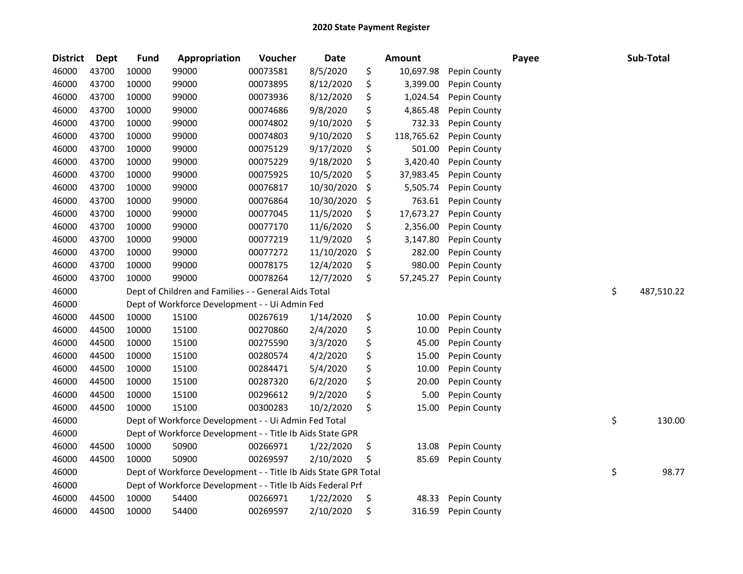| <b>District</b> | <b>Dept</b> | <b>Fund</b> | Appropriation                                                   | Voucher  | <b>Date</b> | <b>Amount</b>    |              | Payee | Sub-Total        |
|-----------------|-------------|-------------|-----------------------------------------------------------------|----------|-------------|------------------|--------------|-------|------------------|
| 46000           | 43700       | 10000       | 99000                                                           | 00073581 | 8/5/2020    | \$<br>10,697.98  | Pepin County |       |                  |
| 46000           | 43700       | 10000       | 99000                                                           | 00073895 | 8/12/2020   | \$<br>3,399.00   | Pepin County |       |                  |
| 46000           | 43700       | 10000       | 99000                                                           | 00073936 | 8/12/2020   | \$<br>1,024.54   | Pepin County |       |                  |
| 46000           | 43700       | 10000       | 99000                                                           | 00074686 | 9/8/2020    | \$<br>4,865.48   | Pepin County |       |                  |
| 46000           | 43700       | 10000       | 99000                                                           | 00074802 | 9/10/2020   | \$<br>732.33     | Pepin County |       |                  |
| 46000           | 43700       | 10000       | 99000                                                           | 00074803 | 9/10/2020   | \$<br>118,765.62 | Pepin County |       |                  |
| 46000           | 43700       | 10000       | 99000                                                           | 00075129 | 9/17/2020   | \$<br>501.00     | Pepin County |       |                  |
| 46000           | 43700       | 10000       | 99000                                                           | 00075229 | 9/18/2020   | \$<br>3,420.40   | Pepin County |       |                  |
| 46000           | 43700       | 10000       | 99000                                                           | 00075925 | 10/5/2020   | \$<br>37,983.45  | Pepin County |       |                  |
| 46000           | 43700       | 10000       | 99000                                                           | 00076817 | 10/30/2020  | \$<br>5,505.74   | Pepin County |       |                  |
| 46000           | 43700       | 10000       | 99000                                                           | 00076864 | 10/30/2020  | \$<br>763.61     | Pepin County |       |                  |
| 46000           | 43700       | 10000       | 99000                                                           | 00077045 | 11/5/2020   | \$<br>17,673.27  | Pepin County |       |                  |
| 46000           | 43700       | 10000       | 99000                                                           | 00077170 | 11/6/2020   | \$<br>2,356.00   | Pepin County |       |                  |
| 46000           | 43700       | 10000       | 99000                                                           | 00077219 | 11/9/2020   | \$<br>3,147.80   | Pepin County |       |                  |
| 46000           | 43700       | 10000       | 99000                                                           | 00077272 | 11/10/2020  | \$<br>282.00     | Pepin County |       |                  |
| 46000           | 43700       | 10000       | 99000                                                           | 00078175 | 12/4/2020   | \$<br>980.00     | Pepin County |       |                  |
| 46000           | 43700       | 10000       | 99000                                                           | 00078264 | 12/7/2020   | \$<br>57,245.27  | Pepin County |       |                  |
| 46000           |             |             | Dept of Children and Families - - General Aids Total            |          |             |                  |              |       | \$<br>487,510.22 |
| 46000           |             |             | Dept of Workforce Development - - Ui Admin Fed                  |          |             |                  |              |       |                  |
| 46000           | 44500       | 10000       | 15100                                                           | 00267619 | 1/14/2020   | \$<br>10.00      | Pepin County |       |                  |
| 46000           | 44500       | 10000       | 15100                                                           | 00270860 | 2/4/2020    | \$<br>10.00      | Pepin County |       |                  |
| 46000           | 44500       | 10000       | 15100                                                           | 00275590 | 3/3/2020    | \$<br>45.00      | Pepin County |       |                  |
| 46000           | 44500       | 10000       | 15100                                                           | 00280574 | 4/2/2020    | \$<br>15.00      | Pepin County |       |                  |
| 46000           | 44500       | 10000       | 15100                                                           | 00284471 | 5/4/2020    | \$<br>10.00      | Pepin County |       |                  |
| 46000           | 44500       | 10000       | 15100                                                           | 00287320 | 6/2/2020    | \$<br>20.00      | Pepin County |       |                  |
| 46000           | 44500       | 10000       | 15100                                                           | 00296612 | 9/2/2020    | \$<br>5.00       | Pepin County |       |                  |
| 46000           | 44500       | 10000       | 15100                                                           | 00300283 | 10/2/2020   | \$<br>15.00      | Pepin County |       |                  |
| 46000           |             |             | Dept of Workforce Development - - Ui Admin Fed Total            |          |             |                  |              |       | \$<br>130.00     |
| 46000           |             |             | Dept of Workforce Development - - Title Ib Aids State GPR       |          |             |                  |              |       |                  |
| 46000           | 44500       | 10000       | 50900                                                           | 00266971 | 1/22/2020   | \$<br>13.08      | Pepin County |       |                  |
| 46000           | 44500       | 10000       | 50900                                                           | 00269597 | 2/10/2020   | \$<br>85.69      | Pepin County |       |                  |
| 46000           |             |             | Dept of Workforce Development - - Title Ib Aids State GPR Total |          |             |                  |              |       | \$<br>98.77      |
| 46000           |             |             | Dept of Workforce Development - - Title Ib Aids Federal Prf     |          |             |                  |              |       |                  |
| 46000           | 44500       | 10000       | 54400                                                           | 00266971 | 1/22/2020   | \$<br>48.33      | Pepin County |       |                  |
| 46000           | 44500       | 10000       | 54400                                                           | 00269597 | 2/10/2020   | \$<br>316.59     | Pepin County |       |                  |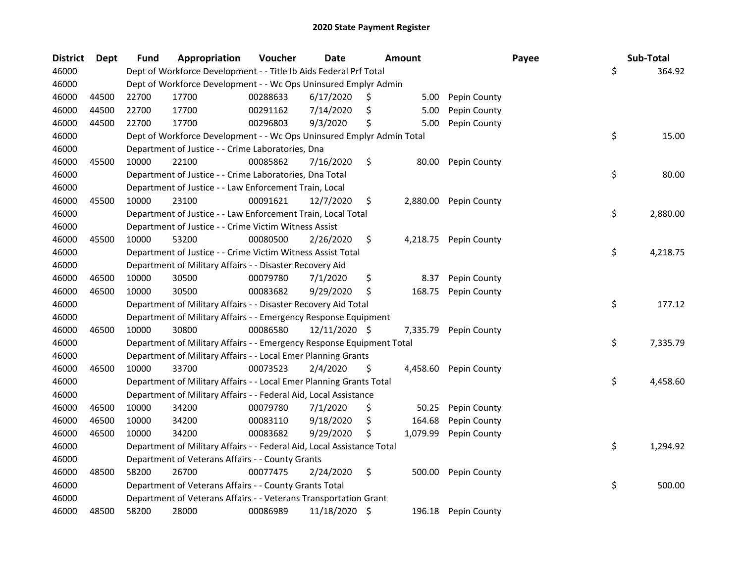| <b>District</b> | Dept  | <b>Fund</b> | Appropriation                                                          | Voucher  | <b>Date</b>     |     | Amount   |                       | Payee | Sub-Total      |
|-----------------|-------|-------------|------------------------------------------------------------------------|----------|-----------------|-----|----------|-----------------------|-------|----------------|
| 46000           |       |             | Dept of Workforce Development - - Title Ib Aids Federal Prf Total      |          |                 |     |          |                       |       | \$<br>364.92   |
| 46000           |       |             | Dept of Workforce Development - - Wc Ops Uninsured Emplyr Admin        |          |                 |     |          |                       |       |                |
| 46000           | 44500 | 22700       | 17700                                                                  | 00288633 | 6/17/2020       | Ş   | 5.00     | Pepin County          |       |                |
| 46000           | 44500 | 22700       | 17700                                                                  | 00291162 | 7/14/2020       | S   | 5.00     | Pepin County          |       |                |
| 46000           | 44500 | 22700       | 17700                                                                  | 00296803 | 9/3/2020        | Ś   | 5.00     | Pepin County          |       |                |
| 46000           |       |             | Dept of Workforce Development - - Wc Ops Uninsured Emplyr Admin Total  |          |                 |     |          |                       |       | \$<br>15.00    |
| 46000           |       |             | Department of Justice - - Crime Laboratories, Dna                      |          |                 |     |          |                       |       |                |
| 46000           | 45500 | 10000       | 22100                                                                  | 00085862 | 7/16/2020       | \$  | 80.00    | Pepin County          |       |                |
| 46000           |       |             | Department of Justice - - Crime Laboratories, Dna Total                |          |                 |     |          |                       |       | \$<br>80.00    |
| 46000           |       |             | Department of Justice - - Law Enforcement Train, Local                 |          |                 |     |          |                       |       |                |
| 46000           | 45500 | 10000       | 23100                                                                  | 00091621 | 12/7/2020       | \$  |          | 2,880.00 Pepin County |       |                |
| 46000           |       |             | Department of Justice - - Law Enforcement Train, Local Total           |          |                 |     |          |                       |       | \$<br>2,880.00 |
| 46000           |       |             | Department of Justice - - Crime Victim Witness Assist                  |          |                 |     |          |                       |       |                |
| 46000           | 45500 | 10000       | 53200                                                                  | 00080500 | 2/26/2020       | \$  |          | 4,218.75 Pepin County |       |                |
| 46000           |       |             | Department of Justice - - Crime Victim Witness Assist Total            |          |                 |     |          |                       |       | \$<br>4,218.75 |
| 46000           |       |             | Department of Military Affairs - - Disaster Recovery Aid               |          |                 |     |          |                       |       |                |
| 46000           | 46500 | 10000       | 30500                                                                  | 00079780 | 7/1/2020        | \$  | 8.37     | Pepin County          |       |                |
| 46000           | 46500 | 10000       | 30500                                                                  | 00083682 | 9/29/2020       | \$  | 168.75   | Pepin County          |       |                |
| 46000           |       |             | Department of Military Affairs - - Disaster Recovery Aid Total         |          |                 |     |          |                       |       | \$<br>177.12   |
| 46000           |       |             | Department of Military Affairs - - Emergency Response Equipment        |          |                 |     |          |                       |       |                |
| 46000           | 46500 | 10000       | 30800                                                                  | 00086580 | $12/11/2020$ \$ |     | 7,335.79 | Pepin County          |       |                |
| 46000           |       |             | Department of Military Affairs - - Emergency Response Equipment Total  |          |                 |     |          |                       |       | \$<br>7,335.79 |
| 46000           |       |             | Department of Military Affairs - - Local Emer Planning Grants          |          |                 |     |          |                       |       |                |
| 46000           | 46500 | 10000       | 33700                                                                  | 00073523 | 2/4/2020        | \$  |          | 4,458.60 Pepin County |       |                |
| 46000           |       |             | Department of Military Affairs - - Local Emer Planning Grants Total    |          |                 |     |          |                       |       | \$<br>4,458.60 |
| 46000           |       |             | Department of Military Affairs - - Federal Aid, Local Assistance       |          |                 |     |          |                       |       |                |
| 46000           | 46500 | 10000       | 34200                                                                  | 00079780 | 7/1/2020        | \$, | 50.25    | Pepin County          |       |                |
| 46000           | 46500 | 10000       | 34200                                                                  | 00083110 | 9/18/2020       | \$  | 164.68   | Pepin County          |       |                |
| 46000           | 46500 | 10000       | 34200                                                                  | 00083682 | 9/29/2020       | \$  | 1,079.99 | Pepin County          |       |                |
| 46000           |       |             | Department of Military Affairs - - Federal Aid, Local Assistance Total |          |                 |     |          |                       |       | \$<br>1,294.92 |
| 46000           |       |             | Department of Veterans Affairs - - County Grants                       |          |                 |     |          |                       |       |                |
| 46000           | 48500 | 58200       | 26700                                                                  | 00077475 | 2/24/2020       | \$  | 500.00   | Pepin County          |       |                |
| 46000           |       |             | Department of Veterans Affairs - - County Grants Total                 |          |                 |     |          |                       |       | \$<br>500.00   |
| 46000           |       |             | Department of Veterans Affairs - - Veterans Transportation Grant       |          |                 |     |          |                       |       |                |
| 46000           | 48500 | 58200       | 28000                                                                  | 00086989 | 11/18/2020 \$   |     | 196.18   | Pepin County          |       |                |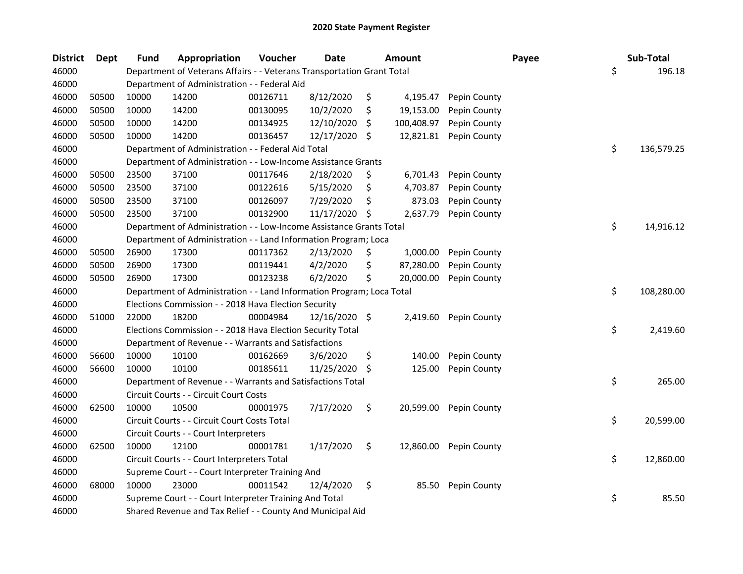| <b>District</b> | <b>Dept</b> | <b>Fund</b> | Appropriation                                                          | Voucher  | Date          |     | <b>Amount</b> |              | Payee | Sub-Total  |
|-----------------|-------------|-------------|------------------------------------------------------------------------|----------|---------------|-----|---------------|--------------|-------|------------|
| 46000           |             |             | Department of Veterans Affairs - - Veterans Transportation Grant Total |          |               |     |               |              | \$    | 196.18     |
| 46000           |             |             | Department of Administration - - Federal Aid                           |          |               |     |               |              |       |            |
| 46000           | 50500       | 10000       | 14200                                                                  | 00126711 | 8/12/2020     | \$  | 4,195.47      | Pepin County |       |            |
| 46000           | 50500       | 10000       | 14200                                                                  | 00130095 | 10/2/2020     | \$  | 19,153.00     | Pepin County |       |            |
| 46000           | 50500       | 10000       | 14200                                                                  | 00134925 | 12/10/2020    | S.  | 100,408.97    | Pepin County |       |            |
| 46000           | 50500       | 10000       | 14200                                                                  | 00136457 | 12/17/2020    | -\$ | 12,821.81     | Pepin County |       |            |
| 46000           |             |             | Department of Administration - - Federal Aid Total                     |          |               |     |               |              | \$    | 136,579.25 |
| 46000           |             |             | Department of Administration - - Low-Income Assistance Grants          |          |               |     |               |              |       |            |
| 46000           | 50500       | 23500       | 37100                                                                  | 00117646 | 2/18/2020     | \$  | 6,701.43      | Pepin County |       |            |
| 46000           | 50500       | 23500       | 37100                                                                  | 00122616 | 5/15/2020     | \$  | 4,703.87      | Pepin County |       |            |
| 46000           | 50500       | 23500       | 37100                                                                  | 00126097 | 7/29/2020     | \$  | 873.03        | Pepin County |       |            |
| 46000           | 50500       | 23500       | 37100                                                                  | 00132900 | 11/17/2020    | \$. | 2,637.79      | Pepin County |       |            |
| 46000           |             |             | Department of Administration - - Low-Income Assistance Grants Total    |          |               |     |               |              | \$    | 14,916.12  |
| 46000           |             |             | Department of Administration - - Land Information Program; Loca        |          |               |     |               |              |       |            |
| 46000           | 50500       | 26900       | 17300                                                                  | 00117362 | 2/13/2020     | Ş.  | 1,000.00      | Pepin County |       |            |
| 46000           | 50500       | 26900       | 17300                                                                  | 00119441 | 4/2/2020      | \$  | 87,280.00     | Pepin County |       |            |
| 46000           | 50500       | 26900       | 17300                                                                  | 00123238 | 6/2/2020      | \$  | 20,000.00     | Pepin County |       |            |
| 46000           |             |             | Department of Administration - - Land Information Program; Loca Total  |          |               |     |               |              | \$    | 108,280.00 |
| 46000           |             |             | Elections Commission - - 2018 Hava Election Security                   |          |               |     |               |              |       |            |
| 46000           | 51000       | 22000       | 18200                                                                  | 00004984 | 12/16/2020 \$ |     | 2,419.60      | Pepin County |       |            |
| 46000           |             |             | Elections Commission - - 2018 Hava Election Security Total             |          |               |     |               |              | \$    | 2,419.60   |
| 46000           |             |             | Department of Revenue - - Warrants and Satisfactions                   |          |               |     |               |              |       |            |
| 46000           | 56600       | 10000       | 10100                                                                  | 00162669 | 3/6/2020      | \$  | 140.00        | Pepin County |       |            |
| 46000           | 56600       | 10000       | 10100                                                                  | 00185611 | 11/25/2020    | Ŝ.  | 125.00        | Pepin County |       |            |
| 46000           |             |             | Department of Revenue - - Warrants and Satisfactions Total             |          |               |     |               |              | \$    | 265.00     |
| 46000           |             |             | Circuit Courts - - Circuit Court Costs                                 |          |               |     |               |              |       |            |
| 46000           | 62500       | 10000       | 10500                                                                  | 00001975 | 7/17/2020     | \$  | 20,599.00     | Pepin County |       |            |
| 46000           |             |             | Circuit Courts - - Circuit Court Costs Total                           |          |               |     |               |              | \$    | 20,599.00  |
| 46000           |             |             | Circuit Courts - - Court Interpreters                                  |          |               |     |               |              |       |            |
| 46000           | 62500       | 10000       | 12100                                                                  | 00001781 | 1/17/2020     | \$  | 12,860.00     | Pepin County |       |            |
| 46000           |             |             | Circuit Courts - - Court Interpreters Total                            |          |               |     |               |              | \$    | 12,860.00  |
| 46000           |             |             | Supreme Court - - Court Interpreter Training And                       |          |               |     |               |              |       |            |
| 46000           | 68000       | 10000       | 23000                                                                  | 00011542 | 12/4/2020     | \$  | 85.50         | Pepin County |       |            |
| 46000           |             |             | Supreme Court - - Court Interpreter Training And Total                 |          |               |     |               |              | \$    | 85.50      |
| 46000           |             |             | Shared Revenue and Tax Relief - - County And Municipal Aid             |          |               |     |               |              |       |            |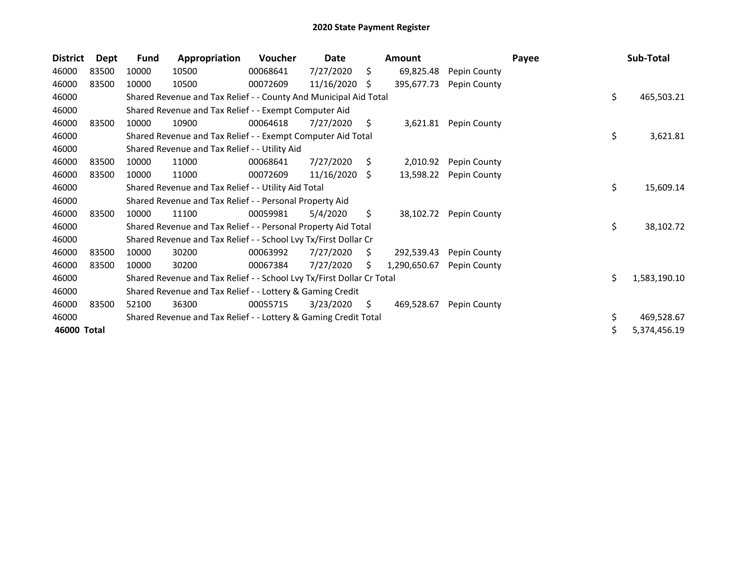| <b>District</b> | <b>Dept</b> | <b>Fund</b> | Appropriation                                                         | Voucher  | Date       |    | <b>Amount</b> |              | Payee | Sub-Total          |
|-----------------|-------------|-------------|-----------------------------------------------------------------------|----------|------------|----|---------------|--------------|-------|--------------------|
| 46000           | 83500       | 10000       | 10500                                                                 | 00068641 | 7/27/2020  | \$ | 69,825.48     | Pepin County |       |                    |
| 46000           | 83500       | 10000       | 10500                                                                 | 00072609 | 11/16/2020 | S  | 395,677.73    | Pepin County |       |                    |
| 46000           |             |             | Shared Revenue and Tax Relief - - County And Municipal Aid Total      |          |            |    |               |              |       | \$<br>465,503.21   |
| 46000           |             |             | Shared Revenue and Tax Relief - - Exempt Computer Aid                 |          |            |    |               |              |       |                    |
| 46000           | 83500       | 10000       | 10900                                                                 | 00064618 | 7/27/2020  | S. | 3,621.81      | Pepin County |       |                    |
| 46000           |             |             | Shared Revenue and Tax Relief - - Exempt Computer Aid Total           |          |            |    |               |              |       | \$<br>3,621.81     |
| 46000           |             |             | Shared Revenue and Tax Relief - - Utility Aid                         |          |            |    |               |              |       |                    |
| 46000           | 83500       | 10000       | 11000                                                                 | 00068641 | 7/27/2020  | S. | 2,010.92      | Pepin County |       |                    |
| 46000           | 83500       | 10000       | 11000                                                                 | 00072609 | 11/16/2020 | S. | 13,598.22     | Pepin County |       |                    |
| 46000           |             |             | Shared Revenue and Tax Relief - - Utility Aid Total                   |          |            |    |               |              |       | \$<br>15,609.14    |
| 46000           |             |             | Shared Revenue and Tax Relief - - Personal Property Aid               |          |            |    |               |              |       |                    |
| 46000           | 83500       | 10000       | 11100                                                                 | 00059981 | 5/4/2020   | \$ | 38,102.72     | Pepin County |       |                    |
| 46000           |             |             | Shared Revenue and Tax Relief - - Personal Property Aid Total         |          |            |    |               |              |       | \$<br>38,102.72    |
| 46000           |             |             | Shared Revenue and Tax Relief - - School Lvy Tx/First Dollar Cr       |          |            |    |               |              |       |                    |
| 46000           | 83500       | 10000       | 30200                                                                 | 00063992 | 7/27/2020  | S. | 292,539.43    | Pepin County |       |                    |
| 46000           | 83500       | 10000       | 30200                                                                 | 00067384 | 7/27/2020  | Ś  | 1,290,650.67  | Pepin County |       |                    |
| 46000           |             |             | Shared Revenue and Tax Relief - - School Lvy Tx/First Dollar Cr Total |          |            |    |               |              |       | \$<br>1,583,190.10 |
| 46000           |             |             | Shared Revenue and Tax Relief - - Lottery & Gaming Credit             |          |            |    |               |              |       |                    |
| 46000           | 83500       | 52100       | 36300                                                                 | 00055715 | 3/23/2020  | \$ | 469,528.67    | Pepin County |       |                    |
| 46000           |             |             | Shared Revenue and Tax Relief - - Lottery & Gaming Credit Total       |          |            |    |               |              |       | \$<br>469,528.67   |
| 46000 Total     |             |             |                                                                       |          |            |    |               |              |       | \$<br>5,374,456.19 |
|                 |             |             |                                                                       |          |            |    |               |              |       |                    |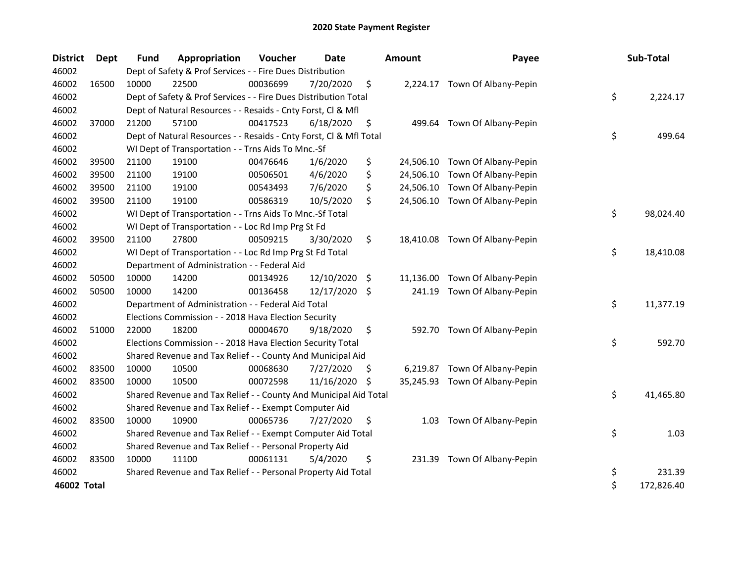| <b>District</b> | Dept  | <b>Fund</b> | Appropriation                                                      | Voucher  | <b>Date</b>   |     | <b>Amount</b> | Payee                          | Sub-Total        |
|-----------------|-------|-------------|--------------------------------------------------------------------|----------|---------------|-----|---------------|--------------------------------|------------------|
| 46002           |       |             | Dept of Safety & Prof Services - - Fire Dues Distribution          |          |               |     |               |                                |                  |
| 46002           | 16500 | 10000       | 22500                                                              | 00036699 | 7/20/2020     | \$  |               | 2,224.17 Town Of Albany-Pepin  |                  |
| 46002           |       |             | Dept of Safety & Prof Services - - Fire Dues Distribution Total    |          |               |     |               |                                | \$<br>2,224.17   |
| 46002           |       |             | Dept of Natural Resources - - Resaids - Cnty Forst, CI & Mfl       |          |               |     |               |                                |                  |
| 46002           | 37000 | 21200       | 57100                                                              | 00417523 | 6/18/2020     | \$  | 499.64        | Town Of Albany-Pepin           |                  |
| 46002           |       |             | Dept of Natural Resources - - Resaids - Cnty Forst, Cl & Mfl Total |          |               |     |               |                                | \$<br>499.64     |
| 46002           |       |             | WI Dept of Transportation - - Trns Aids To Mnc.-Sf                 |          |               |     |               |                                |                  |
| 46002           | 39500 | 21100       | 19100                                                              | 00476646 | 1/6/2020      | \$  | 24,506.10     | Town Of Albany-Pepin           |                  |
| 46002           | 39500 | 21100       | 19100                                                              | 00506501 | 4/6/2020      | \$  | 24,506.10     | Town Of Albany-Pepin           |                  |
| 46002           | 39500 | 21100       | 19100                                                              | 00543493 | 7/6/2020      | \$  | 24,506.10     | Town Of Albany-Pepin           |                  |
| 46002           | 39500 | 21100       | 19100                                                              | 00586319 | 10/5/2020     | \$  | 24,506.10     | Town Of Albany-Pepin           |                  |
| 46002           |       |             | WI Dept of Transportation - - Trns Aids To Mnc.-Sf Total           |          |               |     |               |                                | \$<br>98,024.40  |
| 46002           |       |             | WI Dept of Transportation - - Loc Rd Imp Prg St Fd                 |          |               |     |               |                                |                  |
| 46002           | 39500 | 21100       | 27800                                                              | 00509215 | 3/30/2020     | \$  |               | 18,410.08 Town Of Albany-Pepin |                  |
| 46002           |       |             | WI Dept of Transportation - - Loc Rd Imp Prg St Fd Total           |          |               |     |               |                                | \$<br>18,410.08  |
| 46002           |       |             | Department of Administration - - Federal Aid                       |          |               |     |               |                                |                  |
| 46002           | 50500 | 10000       | 14200                                                              | 00134926 | 12/10/2020    | \$. | 11,136.00     | Town Of Albany-Pepin           |                  |
| 46002           | 50500 | 10000       | 14200                                                              | 00136458 | 12/17/2020 \$ |     | 241.19        | Town Of Albany-Pepin           |                  |
| 46002           |       |             | Department of Administration - - Federal Aid Total                 |          |               |     |               |                                | \$<br>11,377.19  |
| 46002           |       |             | Elections Commission - - 2018 Hava Election Security               |          |               |     |               |                                |                  |
| 46002           | 51000 | 22000       | 18200                                                              | 00004670 | 9/18/2020     | \$  |               | 592.70 Town Of Albany-Pepin    |                  |
| 46002           |       |             | Elections Commission - - 2018 Hava Election Security Total         |          |               |     |               |                                | \$<br>592.70     |
| 46002           |       |             | Shared Revenue and Tax Relief - - County And Municipal Aid         |          |               |     |               |                                |                  |
| 46002           | 83500 | 10000       | 10500                                                              | 00068630 | 7/27/2020     | \$. | 6,219.87      | Town Of Albany-Pepin           |                  |
| 46002           | 83500 | 10000       | 10500                                                              | 00072598 | 11/16/2020    | \$  |               | 35,245.93 Town Of Albany-Pepin |                  |
| 46002           |       |             | Shared Revenue and Tax Relief - - County And Municipal Aid Total   |          |               |     |               |                                | \$<br>41,465.80  |
| 46002           |       |             | Shared Revenue and Tax Relief - - Exempt Computer Aid              |          |               |     |               |                                |                  |
| 46002           | 83500 | 10000       | 10900                                                              | 00065736 | 7/27/2020     | \$  | 1.03          | Town Of Albany-Pepin           |                  |
| 46002           |       |             | Shared Revenue and Tax Relief - - Exempt Computer Aid Total        |          |               |     |               |                                | \$<br>1.03       |
| 46002           |       |             | Shared Revenue and Tax Relief - - Personal Property Aid            |          |               |     |               |                                |                  |
| 46002           | 83500 | 10000       | 11100                                                              | 00061131 | 5/4/2020      | \$  | 231.39        | Town Of Albany-Pepin           |                  |
| 46002           |       |             | Shared Revenue and Tax Relief - - Personal Property Aid Total      |          |               |     |               |                                | \$<br>231.39     |
| 46002 Total     |       |             |                                                                    |          |               |     |               |                                | \$<br>172,826.40 |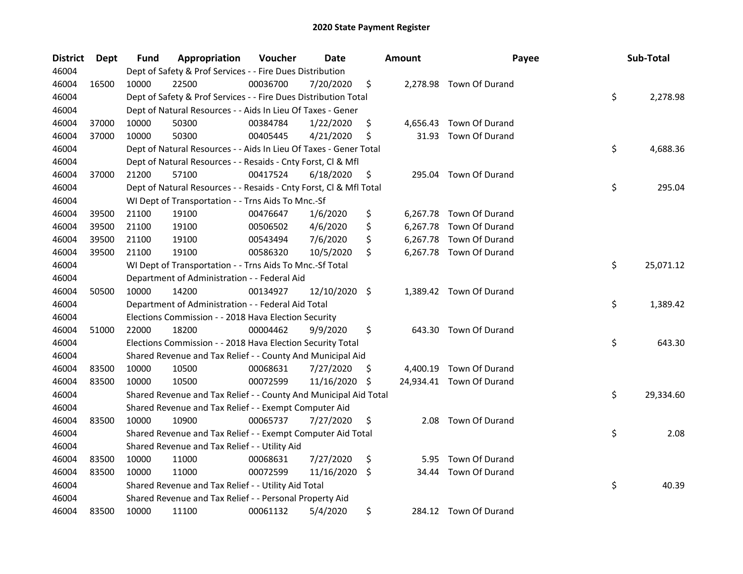| <b>District</b> | <b>Dept</b> | Fund  | Appropriation                                                      | Voucher  | Date       |                     | <b>Amount</b> | Payee                    | Sub-Total       |
|-----------------|-------------|-------|--------------------------------------------------------------------|----------|------------|---------------------|---------------|--------------------------|-----------------|
| 46004           |             |       | Dept of Safety & Prof Services - - Fire Dues Distribution          |          |            |                     |               |                          |                 |
| 46004           | 16500       | 10000 | 22500                                                              | 00036700 | 7/20/2020  | \$                  |               | 2,278.98 Town Of Durand  |                 |
| 46004           |             |       | Dept of Safety & Prof Services - - Fire Dues Distribution Total    |          |            |                     |               |                          | \$<br>2,278.98  |
| 46004           |             |       | Dept of Natural Resources - - Aids In Lieu Of Taxes - Gener        |          |            |                     |               |                          |                 |
| 46004           | 37000       | 10000 | 50300                                                              | 00384784 | 1/22/2020  | \$                  |               | 4,656.43 Town Of Durand  |                 |
| 46004           | 37000       | 10000 | 50300                                                              | 00405445 | 4/21/2020  | \$                  | 31.93         | Town Of Durand           |                 |
| 46004           |             |       | Dept of Natural Resources - - Aids In Lieu Of Taxes - Gener Total  |          |            |                     |               |                          | \$<br>4,688.36  |
| 46004           |             |       | Dept of Natural Resources - - Resaids - Cnty Forst, Cl & Mfl       |          |            |                     |               |                          |                 |
| 46004           | 37000       | 21200 | 57100                                                              | 00417524 | 6/18/2020  | \$                  |               | 295.04 Town Of Durand    |                 |
| 46004           |             |       | Dept of Natural Resources - - Resaids - Cnty Forst, Cl & Mfl Total |          |            |                     |               |                          | \$<br>295.04    |
| 46004           |             |       | WI Dept of Transportation - - Trns Aids To Mnc.-Sf                 |          |            |                     |               |                          |                 |
| 46004           | 39500       | 21100 | 19100                                                              | 00476647 | 1/6/2020   | \$                  | 6,267.78      | Town Of Durand           |                 |
| 46004           | 39500       | 21100 | 19100                                                              | 00506502 | 4/6/2020   | \$                  | 6,267.78      | Town Of Durand           |                 |
| 46004           | 39500       | 21100 | 19100                                                              | 00543494 | 7/6/2020   | \$                  |               | 6,267.78 Town Of Durand  |                 |
| 46004           | 39500       | 21100 | 19100                                                              | 00586320 | 10/5/2020  | \$                  |               | 6,267.78 Town Of Durand  |                 |
| 46004           |             |       | WI Dept of Transportation - - Trns Aids To Mnc.-Sf Total           |          |            |                     |               |                          | \$<br>25,071.12 |
| 46004           |             |       | Department of Administration - - Federal Aid                       |          |            |                     |               |                          |                 |
| 46004           | 50500       | 10000 | 14200                                                              | 00134927 | 12/10/2020 | $\ddot{\mathsf{s}}$ |               | 1,389.42 Town Of Durand  |                 |
| 46004           |             |       | Department of Administration - - Federal Aid Total                 |          |            |                     |               |                          | \$<br>1,389.42  |
| 46004           |             |       | Elections Commission - - 2018 Hava Election Security               |          |            |                     |               |                          |                 |
| 46004           | 51000       | 22000 | 18200                                                              | 00004462 | 9/9/2020   | \$                  |               | 643.30 Town Of Durand    |                 |
| 46004           |             |       | Elections Commission - - 2018 Hava Election Security Total         |          |            |                     |               |                          | \$<br>643.30    |
| 46004           |             |       | Shared Revenue and Tax Relief - - County And Municipal Aid         |          |            |                     |               |                          |                 |
| 46004           | 83500       | 10000 | 10500                                                              | 00068631 | 7/27/2020  | \$.                 | 4,400.19      | Town Of Durand           |                 |
| 46004           | 83500       | 10000 | 10500                                                              | 00072599 | 11/16/2020 | \$                  |               | 24,934.41 Town Of Durand |                 |
| 46004           |             |       | Shared Revenue and Tax Relief - - County And Municipal Aid Total   |          |            |                     |               |                          | \$<br>29,334.60 |
| 46004           |             |       | Shared Revenue and Tax Relief - - Exempt Computer Aid              |          |            |                     |               |                          |                 |
| 46004           | 83500       | 10000 | 10900                                                              | 00065737 | 7/27/2020  | \$                  | 2.08          | Town Of Durand           |                 |
| 46004           |             |       | Shared Revenue and Tax Relief - - Exempt Computer Aid Total        |          |            |                     |               |                          | \$<br>2.08      |
| 46004           |             |       | Shared Revenue and Tax Relief - - Utility Aid                      |          |            |                     |               |                          |                 |
| 46004           | 83500       | 10000 | 11000                                                              | 00068631 | 7/27/2020  | \$                  | 5.95          | Town Of Durand           |                 |
| 46004           | 83500       | 10000 | 11000                                                              | 00072599 | 11/16/2020 | \$                  | 34.44         | Town Of Durand           |                 |
| 46004           |             |       | Shared Revenue and Tax Relief - - Utility Aid Total                |          |            |                     |               |                          | \$<br>40.39     |
| 46004           |             |       | Shared Revenue and Tax Relief - - Personal Property Aid            |          |            |                     |               |                          |                 |
| 46004           | 83500       | 10000 | 11100                                                              | 00061132 | 5/4/2020   | \$                  |               | 284.12 Town Of Durand    |                 |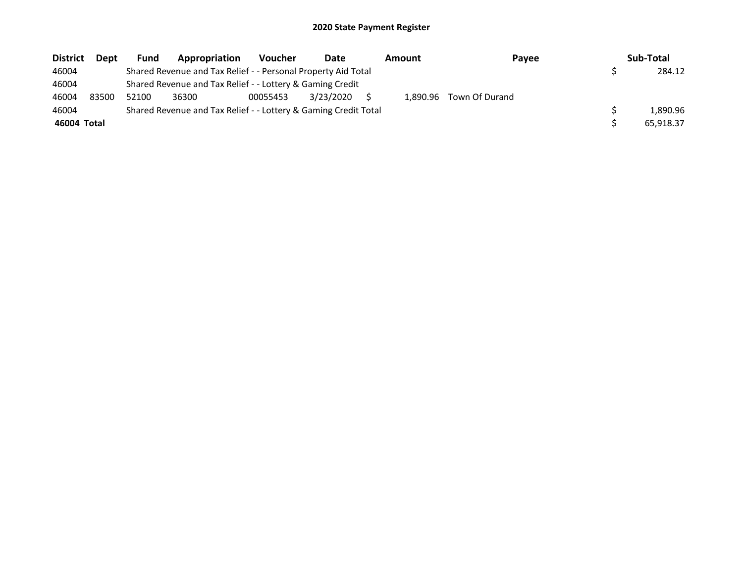| <b>District</b> | Dept  | Fund  | Appropriation                                                   | <b>Voucher</b> | Date      | Amount   | Payee          | Sub-Total |
|-----------------|-------|-------|-----------------------------------------------------------------|----------------|-----------|----------|----------------|-----------|
| 46004           |       |       | Shared Revenue and Tax Relief - - Personal Property Aid Total   |                |           |          |                | 284.12    |
| 46004           |       |       | Shared Revenue and Tax Relief - - Lottery & Gaming Credit       |                |           |          |                |           |
| 46004           | 83500 | 52100 | 36300                                                           | 00055453       | 3/23/2020 | 1.890.96 | Town Of Durand |           |
| 46004           |       |       | Shared Revenue and Tax Relief - - Lottery & Gaming Credit Total |                |           |          |                | 1.890.96  |
| 46004 Total     |       |       |                                                                 |                |           |          |                | 65,918.37 |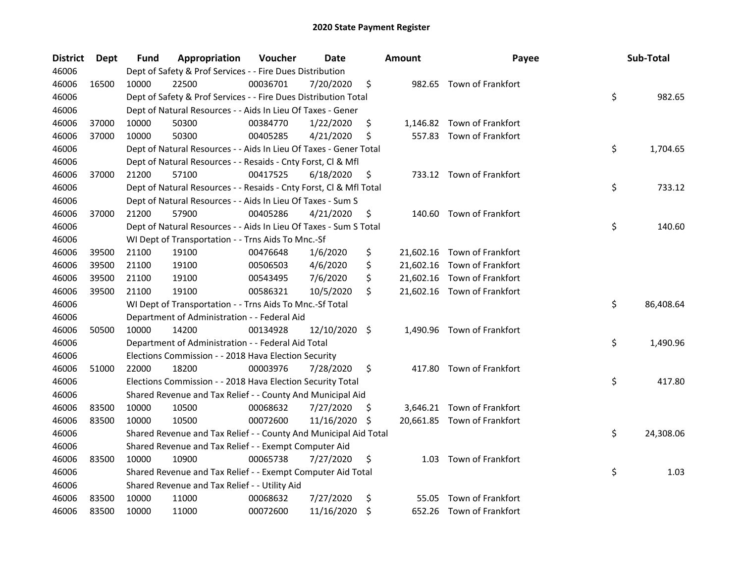| <b>District</b> | <b>Dept</b> | Fund  | Appropriation                                                      | Voucher  | Date          |     | <b>Amount</b> | Payee                       | Sub-Total       |
|-----------------|-------------|-------|--------------------------------------------------------------------|----------|---------------|-----|---------------|-----------------------------|-----------------|
| 46006           |             |       | Dept of Safety & Prof Services - - Fire Dues Distribution          |          |               |     |               |                             |                 |
| 46006           | 16500       | 10000 | 22500                                                              | 00036701 | 7/20/2020     | \$  |               | 982.65 Town of Frankfort    |                 |
| 46006           |             |       | Dept of Safety & Prof Services - - Fire Dues Distribution Total    |          |               |     |               |                             | \$<br>982.65    |
| 46006           |             |       | Dept of Natural Resources - - Aids In Lieu Of Taxes - Gener        |          |               |     |               |                             |                 |
| 46006           | 37000       | 10000 | 50300                                                              | 00384770 | 1/22/2020     | \$  |               | 1,146.82 Town of Frankfort  |                 |
| 46006           | 37000       | 10000 | 50300                                                              | 00405285 | 4/21/2020     | \$  |               | 557.83 Town of Frankfort    |                 |
| 46006           |             |       | Dept of Natural Resources - - Aids In Lieu Of Taxes - Gener Total  |          |               |     |               |                             | \$<br>1,704.65  |
| 46006           |             |       | Dept of Natural Resources - - Resaids - Cnty Forst, Cl & Mfl       |          |               |     |               |                             |                 |
| 46006           | 37000       | 21200 | 57100                                                              | 00417525 | 6/18/2020     | \$  |               | 733.12 Town of Frankfort    |                 |
| 46006           |             |       | Dept of Natural Resources - - Resaids - Cnty Forst, Cl & Mfl Total |          |               |     |               |                             | \$<br>733.12    |
| 46006           |             |       | Dept of Natural Resources - - Aids In Lieu Of Taxes - Sum S        |          |               |     |               |                             |                 |
| 46006           | 37000       | 21200 | 57900                                                              | 00405286 | 4/21/2020     | \$  |               | 140.60 Town of Frankfort    |                 |
| 46006           |             |       | Dept of Natural Resources - - Aids In Lieu Of Taxes - Sum S Total  |          |               |     |               |                             | \$<br>140.60    |
| 46006           |             |       | WI Dept of Transportation - - Trns Aids To Mnc.-Sf                 |          |               |     |               |                             |                 |
| 46006           | 39500       | 21100 | 19100                                                              | 00476648 | 1/6/2020      | \$  |               | 21,602.16 Town of Frankfort |                 |
| 46006           | 39500       | 21100 | 19100                                                              | 00506503 | 4/6/2020      | \$  |               | 21,602.16 Town of Frankfort |                 |
| 46006           | 39500       | 21100 | 19100                                                              | 00543495 | 7/6/2020      | \$  |               | 21,602.16 Town of Frankfort |                 |
| 46006           | 39500       | 21100 | 19100                                                              | 00586321 | 10/5/2020     | \$  |               | 21,602.16 Town of Frankfort |                 |
| 46006           |             |       | WI Dept of Transportation - - Trns Aids To Mnc.-Sf Total           |          |               |     |               |                             | \$<br>86,408.64 |
| 46006           |             |       | Department of Administration - - Federal Aid                       |          |               |     |               |                             |                 |
| 46006           | 50500       | 10000 | 14200                                                              | 00134928 | 12/10/2020 \$ |     |               | 1,490.96 Town of Frankfort  |                 |
| 46006           |             |       | Department of Administration - - Federal Aid Total                 |          |               |     |               |                             | \$<br>1,490.96  |
| 46006           |             |       | Elections Commission - - 2018 Hava Election Security               |          |               |     |               |                             |                 |
| 46006           | 51000       | 22000 | 18200                                                              | 00003976 | 7/28/2020     | \$  |               | 417.80 Town of Frankfort    |                 |
| 46006           |             |       | Elections Commission - - 2018 Hava Election Security Total         |          |               |     |               |                             | \$<br>417.80    |
| 46006           |             |       | Shared Revenue and Tax Relief - - County And Municipal Aid         |          |               |     |               |                             |                 |
| 46006           | 83500       | 10000 | 10500                                                              | 00068632 | 7/27/2020     | \$. |               | 3,646.21 Town of Frankfort  |                 |
| 46006           | 83500       | 10000 | 10500                                                              | 00072600 | 11/16/2020    | \$, |               | 20,661.85 Town of Frankfort |                 |
| 46006           |             |       | Shared Revenue and Tax Relief - - County And Municipal Aid Total   |          |               |     |               |                             | \$<br>24,308.06 |
| 46006           |             |       | Shared Revenue and Tax Relief - - Exempt Computer Aid              |          |               |     |               |                             |                 |
| 46006           | 83500       | 10000 | 10900                                                              | 00065738 | 7/27/2020     | \$  |               | 1.03 Town of Frankfort      |                 |
| 46006           |             |       | Shared Revenue and Tax Relief - - Exempt Computer Aid Total        |          |               |     |               |                             | \$<br>1.03      |
| 46006           |             |       | Shared Revenue and Tax Relief - - Utility Aid                      |          |               |     |               |                             |                 |
| 46006           | 83500       | 10000 | 11000                                                              | 00068632 | 7/27/2020     | \$  | 55.05         | Town of Frankfort           |                 |
| 46006           | 83500       | 10000 | 11000                                                              | 00072600 | 11/16/2020    | \$  |               | 652.26 Town of Frankfort    |                 |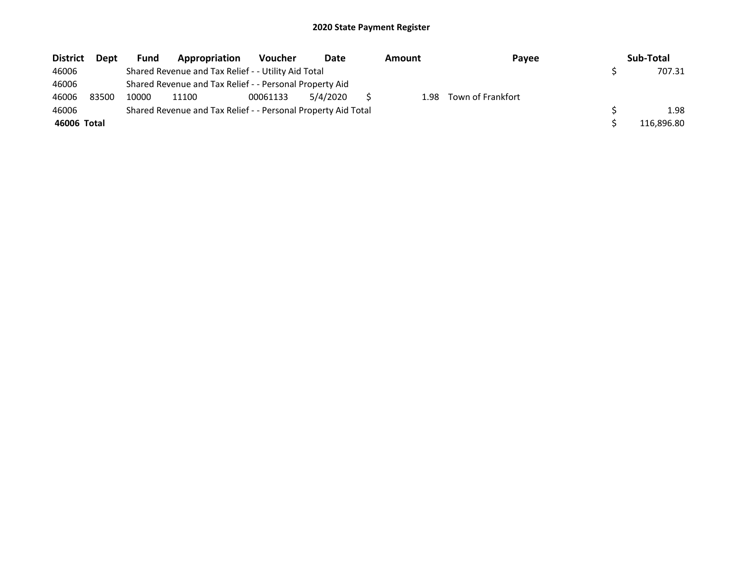| <b>District</b> | Dept  | <b>Fund</b> | Appropriation                                                 | <b>Voucher</b> | Date     | Amount | Payee             | Sub-Total  |
|-----------------|-------|-------------|---------------------------------------------------------------|----------------|----------|--------|-------------------|------------|
| 46006           |       |             | Shared Revenue and Tax Relief - - Utility Aid Total           |                |          |        |                   | 707.31     |
| 46006           |       |             | Shared Revenue and Tax Relief - - Personal Property Aid       |                |          |        |                   |            |
| 46006           | 83500 | 10000       | 11100                                                         | 00061133       | 5/4/2020 | 1.98   | Town of Frankfort |            |
| 46006           |       |             | Shared Revenue and Tax Relief - - Personal Property Aid Total |                |          |        |                   | 1.98       |
| 46006 Total     |       |             |                                                               |                |          |        |                   | 116.896.80 |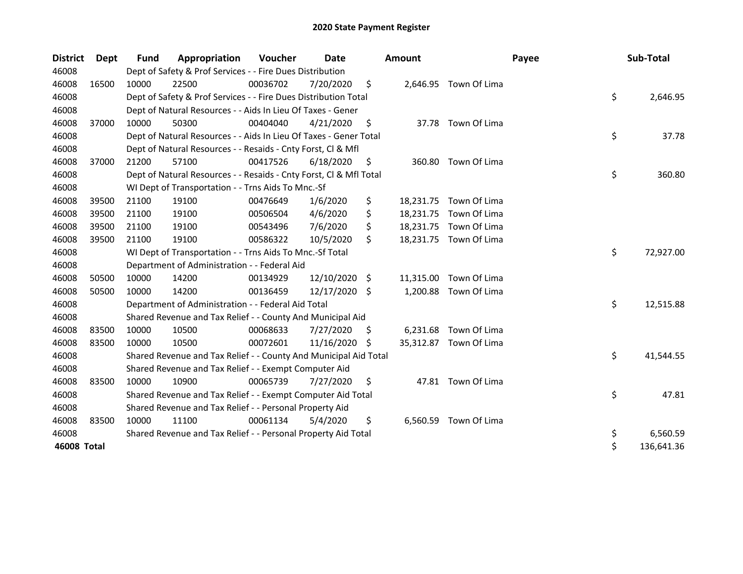| <b>District</b> | Dept  | <b>Fund</b> | Appropriation                                                      | Voucher  | Date          |     | <b>Amount</b> |                        | Payee | Sub-Total        |
|-----------------|-------|-------------|--------------------------------------------------------------------|----------|---------------|-----|---------------|------------------------|-------|------------------|
| 46008           |       |             | Dept of Safety & Prof Services - - Fire Dues Distribution          |          |               |     |               |                        |       |                  |
| 46008           | 16500 | 10000       | 22500                                                              | 00036702 | 7/20/2020     | \$  |               | 2,646.95 Town Of Lima  |       |                  |
| 46008           |       |             | Dept of Safety & Prof Services - - Fire Dues Distribution Total    |          |               |     |               |                        |       | \$<br>2,646.95   |
| 46008           |       |             | Dept of Natural Resources - - Aids In Lieu Of Taxes - Gener        |          |               |     |               |                        |       |                  |
| 46008           | 37000 | 10000       | 50300                                                              | 00404040 | 4/21/2020     | \$  |               | 37.78 Town Of Lima     |       |                  |
| 46008           |       |             | Dept of Natural Resources - - Aids In Lieu Of Taxes - Gener Total  |          |               |     |               |                        |       | \$<br>37.78      |
| 46008           |       |             | Dept of Natural Resources - - Resaids - Cnty Forst, Cl & Mfl       |          |               |     |               |                        |       |                  |
| 46008           | 37000 | 21200       | 57100                                                              | 00417526 | 6/18/2020     | \$  | 360.80        | Town Of Lima           |       |                  |
| 46008           |       |             | Dept of Natural Resources - - Resaids - Cnty Forst, Cl & Mfl Total |          |               |     |               |                        |       | \$<br>360.80     |
| 46008           |       |             | WI Dept of Transportation - - Trns Aids To Mnc.-Sf                 |          |               |     |               |                        |       |                  |
| 46008           | 39500 | 21100       | 19100                                                              | 00476649 | 1/6/2020      | \$  |               | 18,231.75 Town Of Lima |       |                  |
| 46008           | 39500 | 21100       | 19100                                                              | 00506504 | 4/6/2020      | \$  |               | 18,231.75 Town Of Lima |       |                  |
| 46008           | 39500 | 21100       | 19100                                                              | 00543496 | 7/6/2020      | \$  |               | 18,231.75 Town Of Lima |       |                  |
| 46008           | 39500 | 21100       | 19100                                                              | 00586322 | 10/5/2020     | \$  |               | 18,231.75 Town Of Lima |       |                  |
| 46008           |       |             | WI Dept of Transportation - - Trns Aids To Mnc.-Sf Total           |          |               |     |               |                        |       | \$<br>72,927.00  |
| 46008           |       |             | Department of Administration - - Federal Aid                       |          |               |     |               |                        |       |                  |
| 46008           | 50500 | 10000       | 14200                                                              | 00134929 | 12/10/2020 \$ |     | 11,315.00     | Town Of Lima           |       |                  |
| 46008           | 50500 | 10000       | 14200                                                              | 00136459 | 12/17/2020 \$ |     | 1,200.88      | Town Of Lima           |       |                  |
| 46008           |       |             | Department of Administration - - Federal Aid Total                 |          |               |     |               |                        |       | \$<br>12,515.88  |
| 46008           |       |             | Shared Revenue and Tax Relief - - County And Municipal Aid         |          |               |     |               |                        |       |                  |
| 46008           | 83500 | 10000       | 10500                                                              | 00068633 | 7/27/2020     | \$. |               | 6,231.68 Town Of Lima  |       |                  |
| 46008           | 83500 | 10000       | 10500                                                              | 00072601 | 11/16/2020    | S.  |               | 35,312.87 Town Of Lima |       |                  |
| 46008           |       |             | Shared Revenue and Tax Relief - - County And Municipal Aid Total   |          |               |     |               |                        |       | \$<br>41,544.55  |
| 46008           |       |             | Shared Revenue and Tax Relief - - Exempt Computer Aid              |          |               |     |               |                        |       |                  |
| 46008           | 83500 | 10000       | 10900                                                              | 00065739 | 7/27/2020     | \$  |               | 47.81 Town Of Lima     |       |                  |
| 46008           |       |             | Shared Revenue and Tax Relief - - Exempt Computer Aid Total        |          |               |     |               |                        |       | \$<br>47.81      |
| 46008           |       |             | Shared Revenue and Tax Relief - - Personal Property Aid            |          |               |     |               |                        |       |                  |
| 46008           | 83500 | 10000       | 11100                                                              | 00061134 | 5/4/2020      | \$  | 6,560.59      | Town Of Lima           |       |                  |
| 46008           |       |             | Shared Revenue and Tax Relief - - Personal Property Aid Total      |          |               |     |               |                        |       | \$<br>6,560.59   |
| 46008 Total     |       |             |                                                                    |          |               |     |               |                        |       | \$<br>136,641.36 |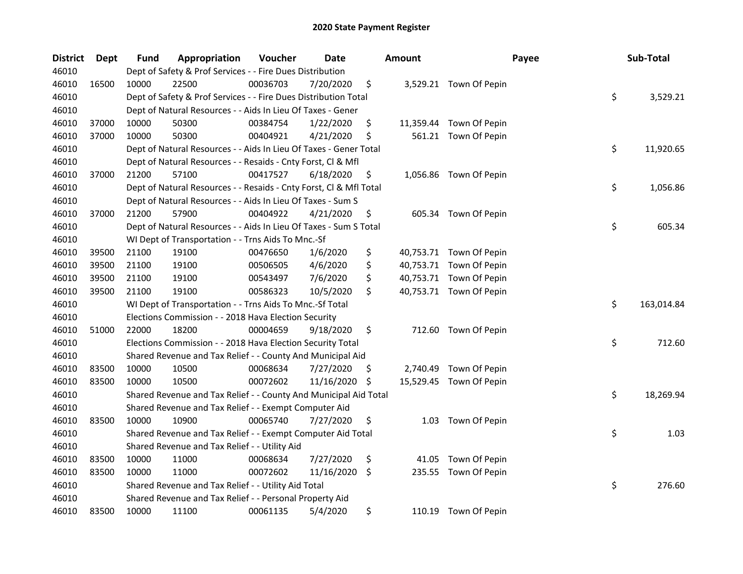| <b>District</b> | <b>Dept</b> | Fund  | Appropriation                                                      | Voucher  | Date       |     | <b>Amount</b> | Payee                   | Sub-Total        |
|-----------------|-------------|-------|--------------------------------------------------------------------|----------|------------|-----|---------------|-------------------------|------------------|
| 46010           |             |       | Dept of Safety & Prof Services - - Fire Dues Distribution          |          |            |     |               |                         |                  |
| 46010           | 16500       | 10000 | 22500                                                              | 00036703 | 7/20/2020  | \$  |               | 3,529.21 Town Of Pepin  |                  |
| 46010           |             |       | Dept of Safety & Prof Services - - Fire Dues Distribution Total    |          |            |     |               |                         | \$<br>3,529.21   |
| 46010           |             |       | Dept of Natural Resources - - Aids In Lieu Of Taxes - Gener        |          |            |     |               |                         |                  |
| 46010           | 37000       | 10000 | 50300                                                              | 00384754 | 1/22/2020  | \$  |               | 11,359.44 Town Of Pepin |                  |
| 46010           | 37000       | 10000 | 50300                                                              | 00404921 | 4/21/2020  | \$  |               | 561.21 Town Of Pepin    |                  |
| 46010           |             |       | Dept of Natural Resources - - Aids In Lieu Of Taxes - Gener Total  |          |            |     |               |                         | \$<br>11,920.65  |
| 46010           |             |       | Dept of Natural Resources - - Resaids - Cnty Forst, Cl & Mfl       |          |            |     |               |                         |                  |
| 46010           | 37000       | 21200 | 57100                                                              | 00417527 | 6/18/2020  | \$  |               | 1,056.86 Town Of Pepin  |                  |
| 46010           |             |       | Dept of Natural Resources - - Resaids - Cnty Forst, Cl & Mfl Total |          |            |     |               |                         | \$<br>1,056.86   |
| 46010           |             |       | Dept of Natural Resources - - Aids In Lieu Of Taxes - Sum S        |          |            |     |               |                         |                  |
| 46010           | 37000       | 21200 | 57900                                                              | 00404922 | 4/21/2020  | \$  |               | 605.34 Town Of Pepin    |                  |
| 46010           |             |       | Dept of Natural Resources - - Aids In Lieu Of Taxes - Sum S Total  |          |            |     |               |                         | \$<br>605.34     |
| 46010           |             |       | WI Dept of Transportation - - Trns Aids To Mnc.-Sf                 |          |            |     |               |                         |                  |
| 46010           | 39500       | 21100 | 19100                                                              | 00476650 | 1/6/2020   | \$  |               | 40,753.71 Town Of Pepin |                  |
| 46010           | 39500       | 21100 | 19100                                                              | 00506505 | 4/6/2020   | \$  |               | 40,753.71 Town Of Pepin |                  |
| 46010           | 39500       | 21100 | 19100                                                              | 00543497 | 7/6/2020   | \$  |               | 40,753.71 Town Of Pepin |                  |
| 46010           | 39500       | 21100 | 19100                                                              | 00586323 | 10/5/2020  | \$  |               | 40,753.71 Town Of Pepin |                  |
| 46010           |             |       | WI Dept of Transportation - - Trns Aids To Mnc.-Sf Total           |          |            |     |               |                         | \$<br>163,014.84 |
| 46010           |             |       | Elections Commission - - 2018 Hava Election Security               |          |            |     |               |                         |                  |
| 46010           | 51000       | 22000 | 18200                                                              | 00004659 | 9/18/2020  | \$  |               | 712.60 Town Of Pepin    |                  |
| 46010           |             |       | Elections Commission - - 2018 Hava Election Security Total         |          |            |     |               |                         | \$<br>712.60     |
| 46010           |             |       | Shared Revenue and Tax Relief - - County And Municipal Aid         |          |            |     |               |                         |                  |
| 46010           | 83500       | 10000 | 10500                                                              | 00068634 | 7/27/2020  | \$. | 2,740.49      | Town Of Pepin           |                  |
| 46010           | 83500       | 10000 | 10500                                                              | 00072602 | 11/16/2020 | \$  |               | 15,529.45 Town Of Pepin |                  |
| 46010           |             |       | Shared Revenue and Tax Relief - - County And Municipal Aid Total   |          |            |     |               |                         | \$<br>18,269.94  |
| 46010           |             |       | Shared Revenue and Tax Relief - - Exempt Computer Aid              |          |            |     |               |                         |                  |
| 46010           | 83500       | 10000 | 10900                                                              | 00065740 | 7/27/2020  | \$  | 1.03          | Town Of Pepin           |                  |
| 46010           |             |       | Shared Revenue and Tax Relief - - Exempt Computer Aid Total        |          |            |     |               |                         | \$<br>1.03       |
| 46010           |             |       | Shared Revenue and Tax Relief - - Utility Aid                      |          |            |     |               |                         |                  |
| 46010           | 83500       | 10000 | 11000                                                              | 00068634 | 7/27/2020  | \$  | 41.05         | Town Of Pepin           |                  |
| 46010           | 83500       | 10000 | 11000                                                              | 00072602 | 11/16/2020 | \$  | 235.55        | Town Of Pepin           |                  |
| 46010           |             |       | Shared Revenue and Tax Relief - - Utility Aid Total                |          |            |     |               |                         | \$<br>276.60     |
| 46010           |             |       | Shared Revenue and Tax Relief - - Personal Property Aid            |          |            |     |               |                         |                  |
| 46010           | 83500       | 10000 | 11100                                                              | 00061135 | 5/4/2020   | \$  |               | 110.19 Town Of Pepin    |                  |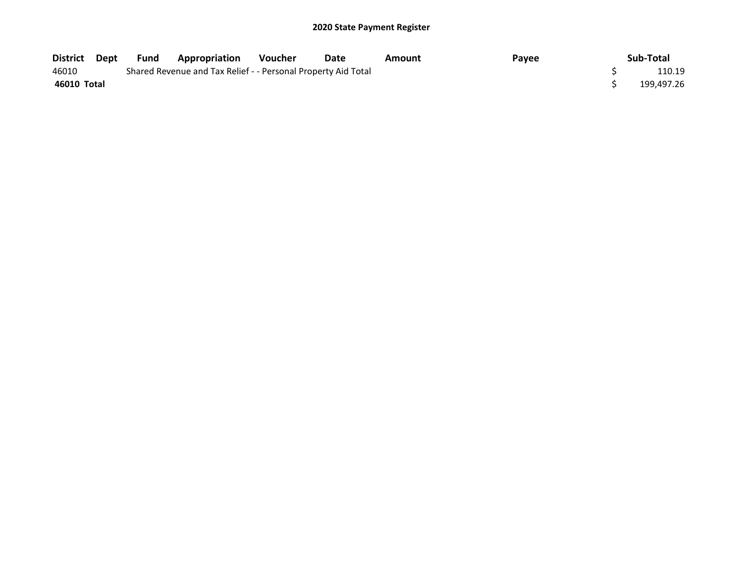| District    | Dept | Fund | <b>Appropriation</b>                                          | Voucher | Date | Amount | Payee | Sub-Total  |
|-------------|------|------|---------------------------------------------------------------|---------|------|--------|-------|------------|
| 46010       |      |      | Shared Revenue and Tax Relief - - Personal Property Aid Total |         |      |        |       | 110.19     |
| 46010 Total |      |      |                                                               |         |      |        |       | 199.497.26 |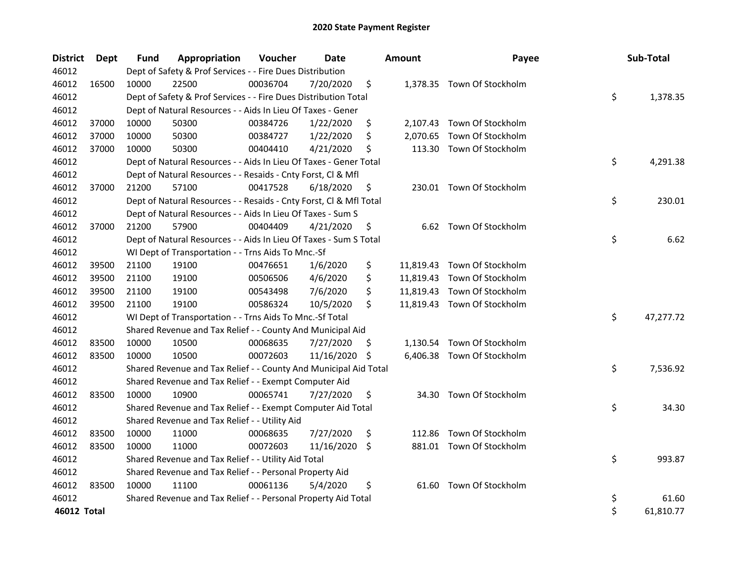| <b>District</b> | Dept  | <b>Fund</b> | Appropriation                                                      | Voucher  | Date          |     | <b>Amount</b> | Payee                       | Sub-Total       |
|-----------------|-------|-------------|--------------------------------------------------------------------|----------|---------------|-----|---------------|-----------------------------|-----------------|
| 46012           |       |             | Dept of Safety & Prof Services - - Fire Dues Distribution          |          |               |     |               |                             |                 |
| 46012           | 16500 | 10000       | 22500                                                              | 00036704 | 7/20/2020     | \$  |               | 1,378.35 Town Of Stockholm  |                 |
| 46012           |       |             | Dept of Safety & Prof Services - - Fire Dues Distribution Total    |          |               |     |               |                             | \$<br>1,378.35  |
| 46012           |       |             | Dept of Natural Resources - - Aids In Lieu Of Taxes - Gener        |          |               |     |               |                             |                 |
| 46012           | 37000 | 10000       | 50300                                                              | 00384726 | 1/22/2020     | \$  |               | 2,107.43 Town Of Stockholm  |                 |
| 46012           | 37000 | 10000       | 50300                                                              | 00384727 | 1/22/2020     | \$  |               | 2,070.65 Town Of Stockholm  |                 |
| 46012           | 37000 | 10000       | 50300                                                              | 00404410 | 4/21/2020     | \$  |               | 113.30 Town Of Stockholm    |                 |
| 46012           |       |             | Dept of Natural Resources - - Aids In Lieu Of Taxes - Gener Total  |          |               |     |               |                             | \$<br>4,291.38  |
| 46012           |       |             | Dept of Natural Resources - - Resaids - Cnty Forst, Cl & Mfl       |          |               |     |               |                             |                 |
| 46012           | 37000 | 21200       | 57100                                                              | 00417528 | 6/18/2020     | \$  |               | 230.01 Town Of Stockholm    |                 |
| 46012           |       |             | Dept of Natural Resources - - Resaids - Cnty Forst, Cl & Mfl Total |          |               |     |               |                             | \$<br>230.01    |
| 46012           |       |             | Dept of Natural Resources - - Aids In Lieu Of Taxes - Sum S        |          |               |     |               |                             |                 |
| 46012           | 37000 | 21200       | 57900                                                              | 00404409 | 4/21/2020     | \$  |               | 6.62 Town Of Stockholm      |                 |
| 46012           |       |             | Dept of Natural Resources - - Aids In Lieu Of Taxes - Sum S Total  |          |               |     |               |                             | \$<br>6.62      |
| 46012           |       |             | WI Dept of Transportation - - Trns Aids To Mnc.-Sf                 |          |               |     |               |                             |                 |
| 46012           | 39500 | 21100       | 19100                                                              | 00476651 | 1/6/2020      | \$  |               | 11,819.43 Town Of Stockholm |                 |
| 46012           | 39500 | 21100       | 19100                                                              | 00506506 | 4/6/2020      | \$  |               | 11,819.43 Town Of Stockholm |                 |
| 46012           | 39500 | 21100       | 19100                                                              | 00543498 | 7/6/2020      | \$  |               | 11,819.43 Town Of Stockholm |                 |
| 46012           | 39500 | 21100       | 19100                                                              | 00586324 | 10/5/2020     | \$  |               | 11,819.43 Town Of Stockholm |                 |
| 46012           |       |             | WI Dept of Transportation - - Trns Aids To Mnc.-Sf Total           |          |               |     |               |                             | \$<br>47,277.72 |
| 46012           |       |             | Shared Revenue and Tax Relief - - County And Municipal Aid         |          |               |     |               |                             |                 |
| 46012           | 83500 | 10000       | 10500                                                              | 00068635 | 7/27/2020     | \$. |               | 1,130.54 Town Of Stockholm  |                 |
| 46012           | 83500 | 10000       | 10500                                                              | 00072603 | 11/16/2020 \$ |     |               | 6,406.38 Town Of Stockholm  |                 |
| 46012           |       |             | Shared Revenue and Tax Relief - - County And Municipal Aid Total   |          |               |     |               |                             | \$<br>7,536.92  |
| 46012           |       |             | Shared Revenue and Tax Relief - - Exempt Computer Aid              |          |               |     |               |                             |                 |
| 46012           | 83500 | 10000       | 10900                                                              | 00065741 | 7/27/2020     | \$  | 34.30         | Town Of Stockholm           |                 |
| 46012           |       |             | Shared Revenue and Tax Relief - - Exempt Computer Aid Total        |          |               |     |               |                             | \$<br>34.30     |
| 46012           |       |             | Shared Revenue and Tax Relief - - Utility Aid                      |          |               |     |               |                             |                 |
| 46012           | 83500 | 10000       | 11000                                                              | 00068635 | 7/27/2020     | \$  | 112.86        | Town Of Stockholm           |                 |
| 46012           | 83500 | 10000       | 11000                                                              | 00072603 | 11/16/2020    | \$  |               | 881.01 Town Of Stockholm    |                 |
| 46012           |       |             | Shared Revenue and Tax Relief - - Utility Aid Total                |          |               |     |               |                             | \$<br>993.87    |
| 46012           |       |             | Shared Revenue and Tax Relief - - Personal Property Aid            |          |               |     |               |                             |                 |
| 46012           | 83500 | 10000       | 11100                                                              | 00061136 | 5/4/2020      | \$  | 61.60         | Town Of Stockholm           |                 |
| 46012           |       |             | Shared Revenue and Tax Relief - - Personal Property Aid Total      |          |               |     |               |                             | \$<br>61.60     |
| 46012 Total     |       |             |                                                                    |          |               |     |               |                             | \$<br>61,810.77 |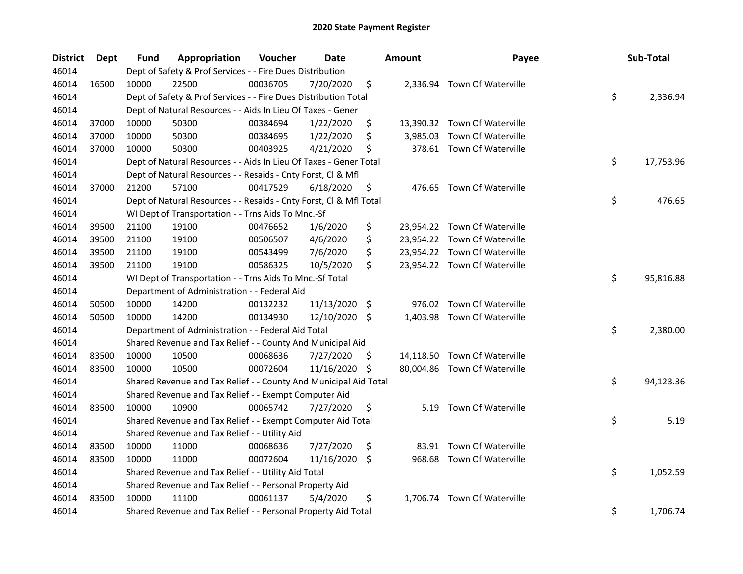| <b>District</b> | Dept  | <b>Fund</b> | Appropriation                                                      | Voucher  | Date          |     | <b>Amount</b> | Payee                        | Sub-Total       |
|-----------------|-------|-------------|--------------------------------------------------------------------|----------|---------------|-----|---------------|------------------------------|-----------------|
| 46014           |       |             | Dept of Safety & Prof Services - - Fire Dues Distribution          |          |               |     |               |                              |                 |
| 46014           | 16500 | 10000       | 22500                                                              | 00036705 | 7/20/2020     | \$  |               | 2,336.94 Town Of Waterville  |                 |
| 46014           |       |             | Dept of Safety & Prof Services - - Fire Dues Distribution Total    |          |               |     |               |                              | \$<br>2,336.94  |
| 46014           |       |             | Dept of Natural Resources - - Aids In Lieu Of Taxes - Gener        |          |               |     |               |                              |                 |
| 46014           | 37000 | 10000       | 50300                                                              | 00384694 | 1/22/2020     | \$  |               | 13,390.32 Town Of Waterville |                 |
| 46014           | 37000 | 10000       | 50300                                                              | 00384695 | 1/22/2020     | \$  |               | 3,985.03 Town Of Waterville  |                 |
| 46014           | 37000 | 10000       | 50300                                                              | 00403925 | 4/21/2020     | \$  |               | 378.61 Town Of Waterville    |                 |
| 46014           |       |             | Dept of Natural Resources - - Aids In Lieu Of Taxes - Gener Total  |          |               |     |               |                              | \$<br>17,753.96 |
| 46014           |       |             | Dept of Natural Resources - - Resaids - Cnty Forst, Cl & Mfl       |          |               |     |               |                              |                 |
| 46014           | 37000 | 21200       | 57100                                                              | 00417529 | 6/18/2020     | \$  |               | 476.65 Town Of Waterville    |                 |
| 46014           |       |             | Dept of Natural Resources - - Resaids - Cnty Forst, Cl & Mfl Total |          |               |     |               |                              | \$<br>476.65    |
| 46014           |       |             | WI Dept of Transportation - - Trns Aids To Mnc.-Sf                 |          |               |     |               |                              |                 |
| 46014           | 39500 | 21100       | 19100                                                              | 00476652 | 1/6/2020      | \$  |               | 23,954.22 Town Of Waterville |                 |
| 46014           | 39500 | 21100       | 19100                                                              | 00506507 | 4/6/2020      | \$  |               | 23,954.22 Town Of Waterville |                 |
| 46014           | 39500 | 21100       | 19100                                                              | 00543499 | 7/6/2020      | \$  |               | 23,954.22 Town Of Waterville |                 |
| 46014           | 39500 | 21100       | 19100                                                              | 00586325 | 10/5/2020     | \$  |               | 23,954.22 Town Of Waterville |                 |
| 46014           |       |             | WI Dept of Transportation - - Trns Aids To Mnc.-Sf Total           |          |               |     |               |                              | \$<br>95,816.88 |
| 46014           |       |             | Department of Administration - - Federal Aid                       |          |               |     |               |                              |                 |
| 46014           | 50500 | 10000       | 14200                                                              | 00132232 | 11/13/2020    | \$  | 976.02        | Town Of Waterville           |                 |
| 46014           | 50500 | 10000       | 14200                                                              | 00134930 | 12/10/2020 \$ |     |               | 1,403.98 Town Of Waterville  |                 |
| 46014           |       |             | Department of Administration - - Federal Aid Total                 |          |               |     |               |                              | \$<br>2,380.00  |
| 46014           |       |             | Shared Revenue and Tax Relief - - County And Municipal Aid         |          |               |     |               |                              |                 |
| 46014           | 83500 | 10000       | 10500                                                              | 00068636 | 7/27/2020     | \$. |               | 14,118.50 Town Of Waterville |                 |
| 46014           | 83500 | 10000       | 10500                                                              | 00072604 | 11/16/2020    | \$  |               | 80,004.86 Town Of Waterville |                 |
| 46014           |       |             | Shared Revenue and Tax Relief - - County And Municipal Aid Total   |          |               |     |               |                              | \$<br>94,123.36 |
| 46014           |       |             | Shared Revenue and Tax Relief - - Exempt Computer Aid              |          |               |     |               |                              |                 |
| 46014           | 83500 | 10000       | 10900                                                              | 00065742 | 7/27/2020     | \$  | 5.19          | Town Of Waterville           |                 |
| 46014           |       |             | Shared Revenue and Tax Relief - - Exempt Computer Aid Total        |          |               |     |               |                              | \$<br>5.19      |
| 46014           |       |             | Shared Revenue and Tax Relief - - Utility Aid                      |          |               |     |               |                              |                 |
| 46014           | 83500 | 10000       | 11000                                                              | 00068636 | 7/27/2020     | \$  |               | 83.91 Town Of Waterville     |                 |
| 46014           | 83500 | 10000       | 11000                                                              | 00072604 | 11/16/2020    | \$. |               | 968.68 Town Of Waterville    |                 |
| 46014           |       |             | Shared Revenue and Tax Relief - - Utility Aid Total                |          |               |     |               |                              | \$<br>1,052.59  |
| 46014           |       |             | Shared Revenue and Tax Relief - - Personal Property Aid            |          |               |     |               |                              |                 |
| 46014           | 83500 | 10000       | 11100                                                              | 00061137 | 5/4/2020      | \$  | 1,706.74      | Town Of Waterville           |                 |
| 46014           |       |             | Shared Revenue and Tax Relief - - Personal Property Aid Total      |          |               |     |               |                              | \$<br>1,706.74  |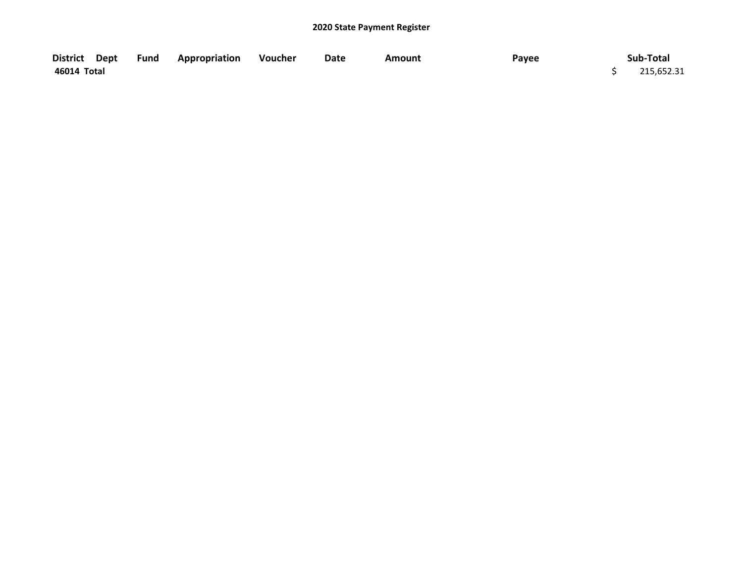| District Dept | <b>Fund Appropriation</b> | Voucher | Date | <b>Amount</b> | Payee | Sub-Total  |
|---------------|---------------------------|---------|------|---------------|-------|------------|
| 46014 Total   |                           |         |      |               |       | 215,652.31 |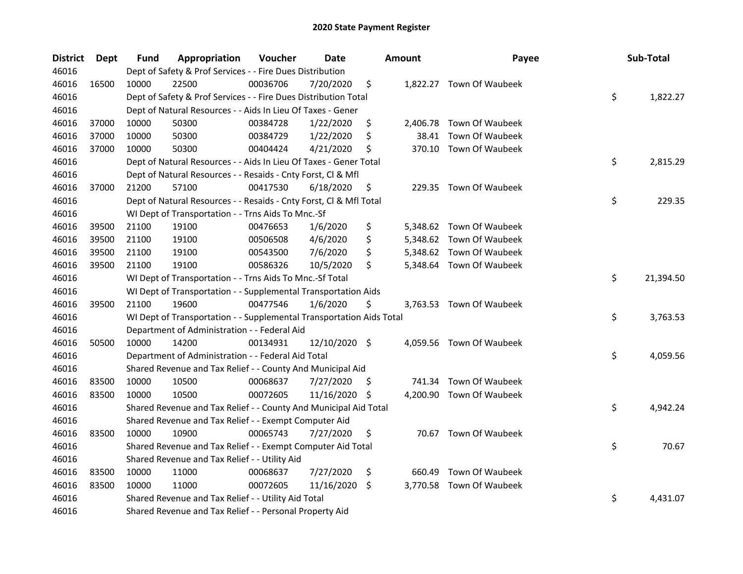| <b>District</b> | Dept  | Fund  | Appropriation                                                        | Voucher  | <b>Date</b>   |     | <b>Amount</b> | Payee                    | Sub-Total       |
|-----------------|-------|-------|----------------------------------------------------------------------|----------|---------------|-----|---------------|--------------------------|-----------------|
| 46016           |       |       | Dept of Safety & Prof Services - - Fire Dues Distribution            |          |               |     |               |                          |                 |
| 46016           | 16500 | 10000 | 22500                                                                | 00036706 | 7/20/2020     | \$  |               | 1,822.27 Town Of Waubeek |                 |
| 46016           |       |       | Dept of Safety & Prof Services - - Fire Dues Distribution Total      |          |               |     |               |                          | \$<br>1,822.27  |
| 46016           |       |       | Dept of Natural Resources - - Aids In Lieu Of Taxes - Gener          |          |               |     |               |                          |                 |
| 46016           | 37000 | 10000 | 50300                                                                | 00384728 | 1/22/2020     | \$  |               | 2,406.78 Town Of Waubeek |                 |
| 46016           | 37000 | 10000 | 50300                                                                | 00384729 | 1/22/2020     | \$  | 38.41         | Town Of Waubeek          |                 |
| 46016           | 37000 | 10000 | 50300                                                                | 00404424 | 4/21/2020     | \$  |               | 370.10 Town Of Waubeek   |                 |
| 46016           |       |       | Dept of Natural Resources - - Aids In Lieu Of Taxes - Gener Total    |          |               |     |               |                          | \$<br>2,815.29  |
| 46016           |       |       | Dept of Natural Resources - - Resaids - Cnty Forst, Cl & Mfl         |          |               |     |               |                          |                 |
| 46016           | 37000 | 21200 | 57100                                                                | 00417530 | 6/18/2020     | \$  |               | 229.35 Town Of Waubeek   |                 |
| 46016           |       |       | Dept of Natural Resources - - Resaids - Cnty Forst, Cl & Mfl Total   |          |               |     |               |                          | \$<br>229.35    |
| 46016           |       |       | WI Dept of Transportation - - Trns Aids To Mnc.-Sf                   |          |               |     |               |                          |                 |
| 46016           | 39500 | 21100 | 19100                                                                | 00476653 | 1/6/2020      | \$  |               | 5,348.62 Town Of Waubeek |                 |
| 46016           | 39500 | 21100 | 19100                                                                | 00506508 | 4/6/2020      | \$  |               | 5,348.62 Town Of Waubeek |                 |
| 46016           | 39500 | 21100 | 19100                                                                | 00543500 | 7/6/2020      | \$  |               | 5,348.62 Town Of Waubeek |                 |
| 46016           | 39500 | 21100 | 19100                                                                | 00586326 | 10/5/2020     | \$  |               | 5,348.64 Town Of Waubeek |                 |
| 46016           |       |       | WI Dept of Transportation - - Trns Aids To Mnc.-Sf Total             |          |               |     |               |                          | \$<br>21,394.50 |
| 46016           |       |       | WI Dept of Transportation - - Supplemental Transportation Aids       |          |               |     |               |                          |                 |
| 46016           | 39500 | 21100 | 19600                                                                | 00477546 | 1/6/2020      | \$  |               | 3,763.53 Town Of Waubeek |                 |
| 46016           |       |       | WI Dept of Transportation - - Supplemental Transportation Aids Total |          |               |     |               |                          | \$<br>3,763.53  |
| 46016           |       |       | Department of Administration - - Federal Aid                         |          |               |     |               |                          |                 |
| 46016           | 50500 | 10000 | 14200                                                                | 00134931 | 12/10/2020 \$ |     |               | 4,059.56 Town Of Waubeek |                 |
| 46016           |       |       | Department of Administration - - Federal Aid Total                   |          |               |     |               |                          | \$<br>4,059.56  |
| 46016           |       |       | Shared Revenue and Tax Relief - - County And Municipal Aid           |          |               |     |               |                          |                 |
| 46016           | 83500 | 10000 | 10500                                                                | 00068637 | 7/27/2020     | S.  | 741.34        | Town Of Waubeek          |                 |
| 46016           | 83500 | 10000 | 10500                                                                | 00072605 | 11/16/2020    | -\$ |               | 4,200.90 Town Of Waubeek |                 |
| 46016           |       |       | Shared Revenue and Tax Relief - - County And Municipal Aid Total     |          |               |     |               |                          | \$<br>4,942.24  |
| 46016           |       |       | Shared Revenue and Tax Relief - - Exempt Computer Aid                |          |               |     |               |                          |                 |
| 46016           | 83500 | 10000 | 10900                                                                | 00065743 | 7/27/2020     | \$  |               | 70.67 Town Of Waubeek    |                 |
| 46016           |       |       | Shared Revenue and Tax Relief - - Exempt Computer Aid Total          |          |               |     |               |                          | \$<br>70.67     |
| 46016           |       |       | Shared Revenue and Tax Relief - - Utility Aid                        |          |               |     |               |                          |                 |
| 46016           | 83500 | 10000 | 11000                                                                | 00068637 | 7/27/2020     | \$  | 660.49        | Town Of Waubeek          |                 |
| 46016           | 83500 | 10000 | 11000                                                                | 00072605 | 11/16/2020    | -\$ |               | 3,770.58 Town Of Waubeek |                 |
| 46016           |       |       | Shared Revenue and Tax Relief - - Utility Aid Total                  |          |               |     |               |                          | \$<br>4,431.07  |
| 46016           |       |       | Shared Revenue and Tax Relief - - Personal Property Aid              |          |               |     |               |                          |                 |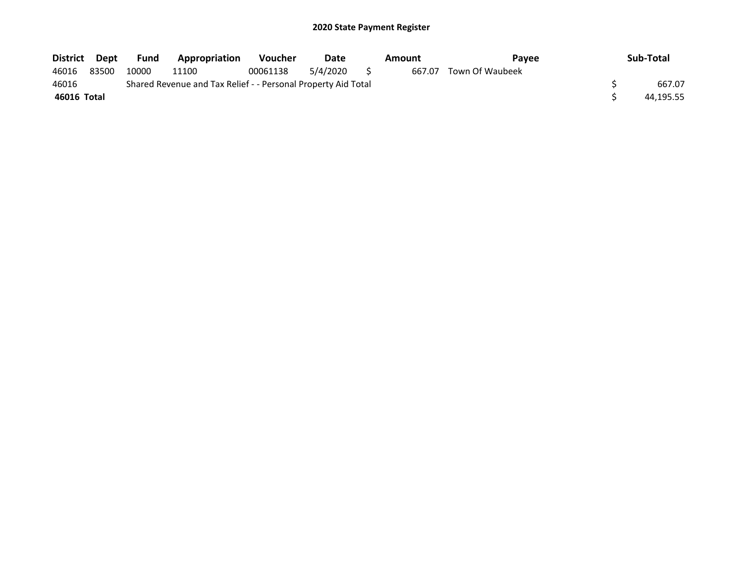| District Dept |       | Fund  | <b>Appropriation</b>                                          | <b>Voucher</b> | Date        | Amount | Payee           | Sub-Total |
|---------------|-------|-------|---------------------------------------------------------------|----------------|-------------|--------|-----------------|-----------|
| 46016         | 83500 | 10000 | 11100                                                         | 00061138       | 5/4/2020 \$ | 667.07 | Town Of Waubeek |           |
| 46016         |       |       | Shared Revenue and Tax Relief - - Personal Property Aid Total |                |             |        |                 | 667.07    |
| 46016 Total   |       |       |                                                               |                |             |        |                 | 44.195.55 |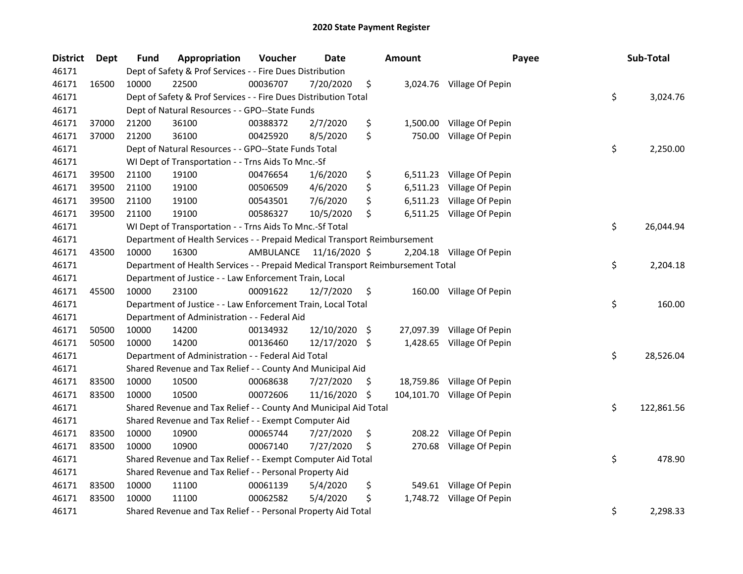| <b>District</b> | Dept  | <b>Fund</b> | Appropriation                                                                   | Voucher   | <b>Date</b>   |      | <b>Amount</b> | Payee                       | Sub-Total        |
|-----------------|-------|-------------|---------------------------------------------------------------------------------|-----------|---------------|------|---------------|-----------------------------|------------------|
| 46171           |       |             | Dept of Safety & Prof Services - - Fire Dues Distribution                       |           |               |      |               |                             |                  |
| 46171           | 16500 | 10000       | 22500                                                                           | 00036707  | 7/20/2020     | \$   |               | 3,024.76 Village Of Pepin   |                  |
| 46171           |       |             | Dept of Safety & Prof Services - - Fire Dues Distribution Total                 |           |               |      |               |                             | \$<br>3,024.76   |
| 46171           |       |             | Dept of Natural Resources - - GPO--State Funds                                  |           |               |      |               |                             |                  |
| 46171           | 37000 | 21200       | 36100                                                                           | 00388372  | 2/7/2020      | \$   |               | 1,500.00 Village Of Pepin   |                  |
| 46171           | 37000 | 21200       | 36100                                                                           | 00425920  | 8/5/2020      | \$   | 750.00        | Village Of Pepin            |                  |
| 46171           |       |             | Dept of Natural Resources - - GPO--State Funds Total                            |           |               |      |               |                             | \$<br>2,250.00   |
| 46171           |       |             | WI Dept of Transportation - - Trns Aids To Mnc.-Sf                              |           |               |      |               |                             |                  |
| 46171           | 39500 | 21100       | 19100                                                                           | 00476654  | 1/6/2020      | \$   |               | 6,511.23 Village Of Pepin   |                  |
| 46171           | 39500 | 21100       | 19100                                                                           | 00506509  | 4/6/2020      | \$   |               | 6,511.23 Village Of Pepin   |                  |
| 46171           | 39500 | 21100       | 19100                                                                           | 00543501  | 7/6/2020      | \$   |               | 6,511.23 Village Of Pepin   |                  |
| 46171           | 39500 | 21100       | 19100                                                                           | 00586327  | 10/5/2020     | \$   |               | 6,511.25 Village Of Pepin   |                  |
| 46171           |       |             | WI Dept of Transportation - - Trns Aids To Mnc.-Sf Total                        |           |               |      |               |                             | \$<br>26,044.94  |
| 46171           |       |             | Department of Health Services - - Prepaid Medical Transport Reimbursement       |           |               |      |               |                             |                  |
| 46171           | 43500 | 10000       | 16300                                                                           | AMBULANCE | 11/16/2020 \$ |      |               | 2,204.18 Village Of Pepin   |                  |
| 46171           |       |             | Department of Health Services - - Prepaid Medical Transport Reimbursement Total |           |               |      |               |                             | \$<br>2,204.18   |
| 46171           |       |             | Department of Justice - - Law Enforcement Train, Local                          |           |               |      |               |                             |                  |
| 46171           | 45500 | 10000       | 23100                                                                           | 00091622  | 12/7/2020     | \$   |               | 160.00 Village Of Pepin     |                  |
| 46171           |       |             | Department of Justice - - Law Enforcement Train, Local Total                    |           |               |      |               |                             | \$<br>160.00     |
| 46171           |       |             | Department of Administration - - Federal Aid                                    |           |               |      |               |                             |                  |
| 46171           | 50500 | 10000       | 14200                                                                           | 00134932  | 12/10/2020    | - \$ |               | 27,097.39 Village Of Pepin  |                  |
| 46171           | 50500 | 10000       | 14200                                                                           | 00136460  | 12/17/2020 \$ |      |               | 1,428.65 Village Of Pepin   |                  |
| 46171           |       |             | Department of Administration - - Federal Aid Total                              |           |               |      |               |                             | \$<br>28,526.04  |
| 46171           |       |             | Shared Revenue and Tax Relief - - County And Municipal Aid                      |           |               |      |               |                             |                  |
| 46171           | 83500 | 10000       | 10500                                                                           | 00068638  | 7/27/2020     | \$.  |               | 18,759.86 Village Of Pepin  |                  |
| 46171           | 83500 | 10000       | 10500                                                                           | 00072606  | 11/16/2020    | \$   |               | 104,101.70 Village Of Pepin |                  |
| 46171           |       |             | Shared Revenue and Tax Relief - - County And Municipal Aid Total                |           |               |      |               |                             | \$<br>122,861.56 |
| 46171           |       |             | Shared Revenue and Tax Relief - - Exempt Computer Aid                           |           |               |      |               |                             |                  |
| 46171           | 83500 | 10000       | 10900                                                                           | 00065744  | 7/27/2020     | \$   |               | 208.22 Village Of Pepin     |                  |
| 46171           | 83500 | 10000       | 10900                                                                           | 00067140  | 7/27/2020     | \$,  | 270.68        | Village Of Pepin            |                  |
| 46171           |       |             | Shared Revenue and Tax Relief - - Exempt Computer Aid Total                     |           |               |      |               |                             | \$<br>478.90     |
| 46171           |       |             | Shared Revenue and Tax Relief - - Personal Property Aid                         |           |               |      |               |                             |                  |
| 46171           | 83500 | 10000       | 11100                                                                           | 00061139  | 5/4/2020      | \$   |               | 549.61 Village Of Pepin     |                  |
| 46171           | 83500 | 10000       | 11100                                                                           | 00062582  | 5/4/2020      | \$   |               | 1,748.72 Village Of Pepin   |                  |
| 46171           |       |             | Shared Revenue and Tax Relief - - Personal Property Aid Total                   |           |               |      |               |                             | \$<br>2,298.33   |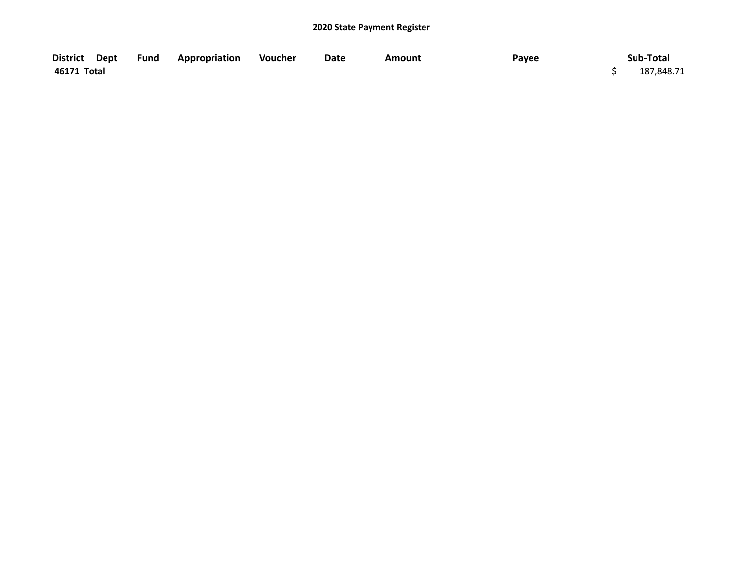|             | District Dept Fund Appropriation Voucher | Date | <b>Amount</b> | Payee | Sub-Total  |
|-------------|------------------------------------------|------|---------------|-------|------------|
| 46171 Total |                                          |      |               |       | 187,848.71 |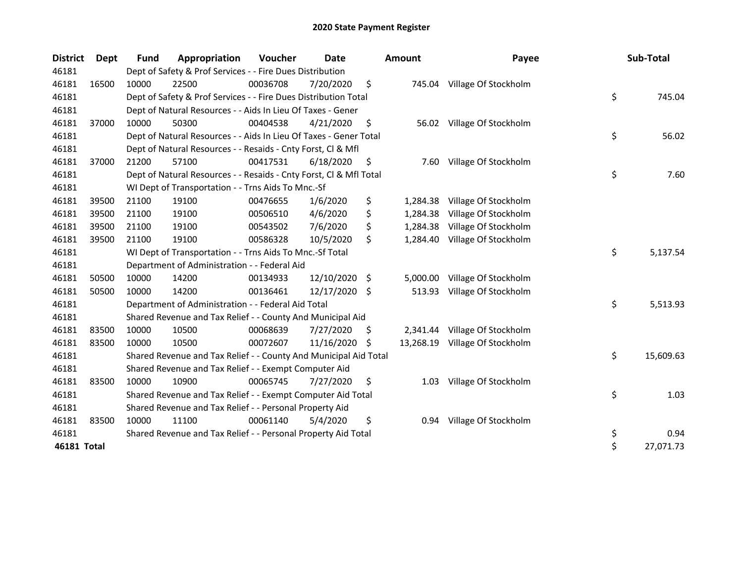| <b>District</b> | Dept  | <b>Fund</b>                                                | Appropriation                                                      | Voucher  | <b>Date</b>   |     | <b>Amount</b> | Payee                         |    | Sub-Total |
|-----------------|-------|------------------------------------------------------------|--------------------------------------------------------------------|----------|---------------|-----|---------------|-------------------------------|----|-----------|
| 46181           |       | Dept of Safety & Prof Services - - Fire Dues Distribution  |                                                                    |          |               |     |               |                               |    |           |
| 46181           | 16500 | 10000                                                      | 22500                                                              | 00036708 | 7/20/2020     | \$  |               | 745.04 Village Of Stockholm   |    |           |
| 46181           |       |                                                            | Dept of Safety & Prof Services - - Fire Dues Distribution Total    |          |               |     |               |                               | \$ | 745.04    |
| 46181           |       |                                                            | Dept of Natural Resources - - Aids In Lieu Of Taxes - Gener        |          |               |     |               |                               |    |           |
| 46181           | 37000 | 10000                                                      | 50300                                                              | 00404538 | 4/21/2020     | \$  |               | 56.02 Village Of Stockholm    |    |           |
| 46181           |       |                                                            | Dept of Natural Resources - - Aids In Lieu Of Taxes - Gener Total  |          |               |     |               |                               | \$ | 56.02     |
| 46181           |       |                                                            | Dept of Natural Resources - - Resaids - Cnty Forst, Cl & Mfl       |          |               |     |               |                               |    |           |
| 46181           | 37000 | 21200                                                      | 57100                                                              | 00417531 | 6/18/2020     | \$  | 7.60          | Village Of Stockholm          |    |           |
| 46181           |       |                                                            | Dept of Natural Resources - - Resaids - Cnty Forst, Cl & Mfl Total |          |               |     |               |                               | \$ | 7.60      |
| 46181           |       |                                                            | WI Dept of Transportation - - Trns Aids To Mnc.-Sf                 |          |               |     |               |                               |    |           |
| 46181           | 39500 | 21100                                                      | 19100                                                              | 00476655 | 1/6/2020      | \$  | 1,284.38      | Village Of Stockholm          |    |           |
| 46181           | 39500 | 21100                                                      | 19100                                                              | 00506510 | 4/6/2020      | \$  | 1,284.38      | Village Of Stockholm          |    |           |
| 46181           | 39500 | 21100                                                      | 19100                                                              | 00543502 | 7/6/2020      | \$  | 1,284.38      | Village Of Stockholm          |    |           |
| 46181           | 39500 | 21100                                                      | 19100                                                              | 00586328 | 10/5/2020     | \$  | 1,284.40      | Village Of Stockholm          |    |           |
| 46181           |       |                                                            | WI Dept of Transportation - - Trns Aids To Mnc.-Sf Total           |          |               |     |               |                               | \$ | 5,137.54  |
| 46181           |       |                                                            | Department of Administration - - Federal Aid                       |          |               |     |               |                               |    |           |
| 46181           | 50500 | 10000                                                      | 14200                                                              | 00134933 | 12/10/2020 \$ |     | 5,000.00      | Village Of Stockholm          |    |           |
| 46181           | 50500 | 10000                                                      | 14200                                                              | 00136461 | 12/17/2020 \$ |     | 513.93        | Village Of Stockholm          |    |           |
| 46181           |       |                                                            | Department of Administration - - Federal Aid Total                 |          |               |     |               |                               | \$ | 5,513.93  |
| 46181           |       | Shared Revenue and Tax Relief - - County And Municipal Aid |                                                                    |          |               |     |               |                               |    |           |
| 46181           | 83500 | 10000                                                      | 10500                                                              | 00068639 | 7/27/2020     | \$. |               | 2,341.44 Village Of Stockholm |    |           |
| 46181           | 83500 | 10000                                                      | 10500                                                              | 00072607 | 11/16/2020    | \$  | 13,268.19     | Village Of Stockholm          |    |           |
| 46181           |       |                                                            | Shared Revenue and Tax Relief - - County And Municipal Aid Total   |          |               |     |               |                               | \$ | 15,609.63 |
| 46181           |       | Shared Revenue and Tax Relief - - Exempt Computer Aid      |                                                                    |          |               |     |               |                               |    |           |
| 46181           | 83500 | 10000                                                      | 10900                                                              | 00065745 | 7/27/2020     | \$  | 1.03          | Village Of Stockholm          |    |           |
| 46181           |       |                                                            | Shared Revenue and Tax Relief - - Exempt Computer Aid Total        |          |               |     |               |                               | \$ | 1.03      |
| 46181           |       | Shared Revenue and Tax Relief - - Personal Property Aid    |                                                                    |          |               |     |               |                               |    |           |
| 46181           | 83500 | 10000                                                      | 11100                                                              | 00061140 | 5/4/2020      | \$  | 0.94          | Village Of Stockholm          |    |           |
| 46181           |       |                                                            | Shared Revenue and Tax Relief - - Personal Property Aid Total      |          |               |     |               |                               | \$ | 0.94      |
| 46181 Total     |       |                                                            |                                                                    |          |               |     |               |                               | \$ | 27,071.73 |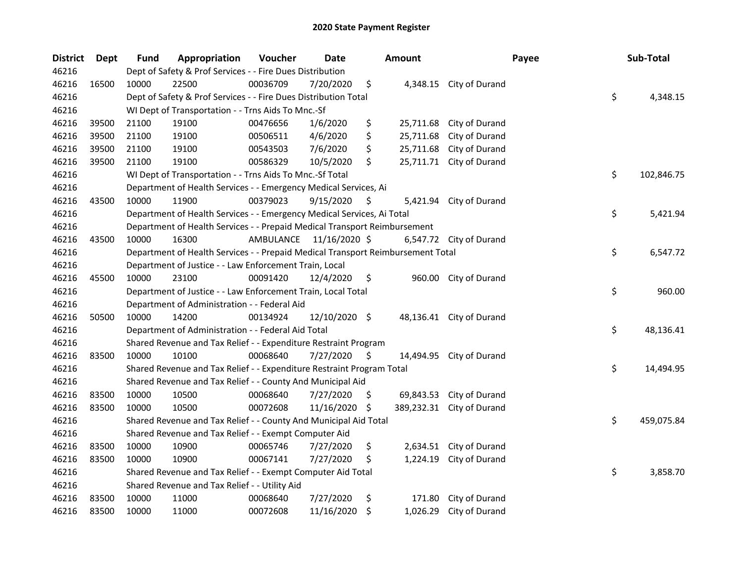| <b>District</b> | Dept  | <b>Fund</b>                                                     | Appropriation                                                                   | Voucher   | Date          |     | Amount     |                          | Payee | Sub-Total        |
|-----------------|-------|-----------------------------------------------------------------|---------------------------------------------------------------------------------|-----------|---------------|-----|------------|--------------------------|-------|------------------|
| 46216           |       |                                                                 | Dept of Safety & Prof Services - - Fire Dues Distribution                       |           |               |     |            |                          |       |                  |
| 46216           | 16500 | 10000                                                           | 22500                                                                           | 00036709  | 7/20/2020     | \$  | 4,348.15   | City of Durand           |       |                  |
| 46216           |       | Dept of Safety & Prof Services - - Fire Dues Distribution Total |                                                                                 |           |               |     |            |                          |       | \$<br>4,348.15   |
| 46216           |       | WI Dept of Transportation - - Trns Aids To Mnc.-Sf              |                                                                                 |           |               |     |            |                          |       |                  |
| 46216           | 39500 | 21100                                                           | 19100                                                                           | 00476656  | 1/6/2020      | \$  | 25,711.68  | City of Durand           |       |                  |
| 46216           | 39500 | 21100                                                           | 19100                                                                           | 00506511  | 4/6/2020      | \$  | 25,711.68  | City of Durand           |       |                  |
| 46216           | 39500 | 21100                                                           | 19100                                                                           | 00543503  | 7/6/2020      | \$  | 25,711.68  | City of Durand           |       |                  |
| 46216           | 39500 | 21100                                                           | 19100                                                                           | 00586329  | 10/5/2020     | \$  | 25,711.71  | City of Durand           |       |                  |
| 46216           |       |                                                                 | WI Dept of Transportation - - Trns Aids To Mnc.-Sf Total                        |           |               |     |            |                          |       | \$<br>102,846.75 |
| 46216           |       |                                                                 | Department of Health Services - - Emergency Medical Services, Ai                |           |               |     |            |                          |       |                  |
| 46216           | 43500 | 10000                                                           | 11900                                                                           | 00379023  | 9/15/2020     | \$  |            | 5,421.94 City of Durand  |       |                  |
| 46216           |       |                                                                 | Department of Health Services - - Emergency Medical Services, Ai Total          |           |               |     |            |                          |       | \$<br>5,421.94   |
| 46216           |       |                                                                 | Department of Health Services - - Prepaid Medical Transport Reimbursement       |           |               |     |            |                          |       |                  |
| 46216           | 43500 | 10000                                                           | 16300                                                                           | AMBULANCE | 11/16/2020 \$ |     |            | 6,547.72 City of Durand  |       |                  |
| 46216           |       |                                                                 | Department of Health Services - - Prepaid Medical Transport Reimbursement Total |           |               |     |            |                          |       | \$<br>6,547.72   |
| 46216           |       |                                                                 | Department of Justice - - Law Enforcement Train, Local                          |           |               |     |            |                          |       |                  |
| 46216           | 45500 | 10000                                                           | 23100                                                                           | 00091420  | 12/4/2020     | \$  |            | 960.00 City of Durand    |       |                  |
| 46216           |       |                                                                 | Department of Justice - - Law Enforcement Train, Local Total                    |           |               |     |            |                          |       | \$<br>960.00     |
| 46216           |       |                                                                 | Department of Administration - - Federal Aid                                    |           |               |     |            |                          |       |                  |
| 46216           | 50500 | 10000                                                           | 14200                                                                           | 00134924  | 12/10/2020 \$ |     |            | 48,136.41 City of Durand |       |                  |
| 46216           |       |                                                                 | Department of Administration - - Federal Aid Total                              |           |               |     |            |                          |       | \$<br>48,136.41  |
| 46216           |       |                                                                 | Shared Revenue and Tax Relief - - Expenditure Restraint Program                 |           |               |     |            |                          |       |                  |
| 46216           | 83500 | 10000                                                           | 10100                                                                           | 00068640  | 7/27/2020     | \$  |            | 14,494.95 City of Durand |       |                  |
| 46216           |       |                                                                 | Shared Revenue and Tax Relief - - Expenditure Restraint Program Total           |           |               |     |            |                          |       | \$<br>14,494.95  |
| 46216           |       |                                                                 | Shared Revenue and Tax Relief - - County And Municipal Aid                      |           |               |     |            |                          |       |                  |
| 46216           | 83500 | 10000                                                           | 10500                                                                           | 00068640  | 7/27/2020     | \$. | 69,843.53  | City of Durand           |       |                  |
| 46216           | 83500 | 10000                                                           | 10500                                                                           | 00072608  | 11/16/2020    | \$  | 389,232.31 | City of Durand           |       |                  |
| 46216           |       |                                                                 | Shared Revenue and Tax Relief - - County And Municipal Aid Total                |           |               |     |            |                          |       | \$<br>459,075.84 |
| 46216           |       | Shared Revenue and Tax Relief - - Exempt Computer Aid           |                                                                                 |           |               |     |            |                          |       |                  |
| 46216           | 83500 | 10000                                                           | 10900                                                                           | 00065746  | 7/27/2020     | \$  |            | 2,634.51 City of Durand  |       |                  |
| 46216           | 83500 | 10000                                                           | 10900                                                                           | 00067141  | 7/27/2020     | \$. | 1,224.19   | City of Durand           |       |                  |
| 46216           |       |                                                                 | Shared Revenue and Tax Relief - - Exempt Computer Aid Total                     |           |               |     |            |                          |       | \$<br>3,858.70   |
| 46216           |       | Shared Revenue and Tax Relief - - Utility Aid                   |                                                                                 |           |               |     |            |                          |       |                  |
| 46216           | 83500 | 10000                                                           | 11000                                                                           | 00068640  | 7/27/2020     | \$  | 171.80     | City of Durand           |       |                  |
| 46216           | 83500 | 10000                                                           | 11000                                                                           | 00072608  | 11/16/2020    | \$  | 1,026.29   | City of Durand           |       |                  |